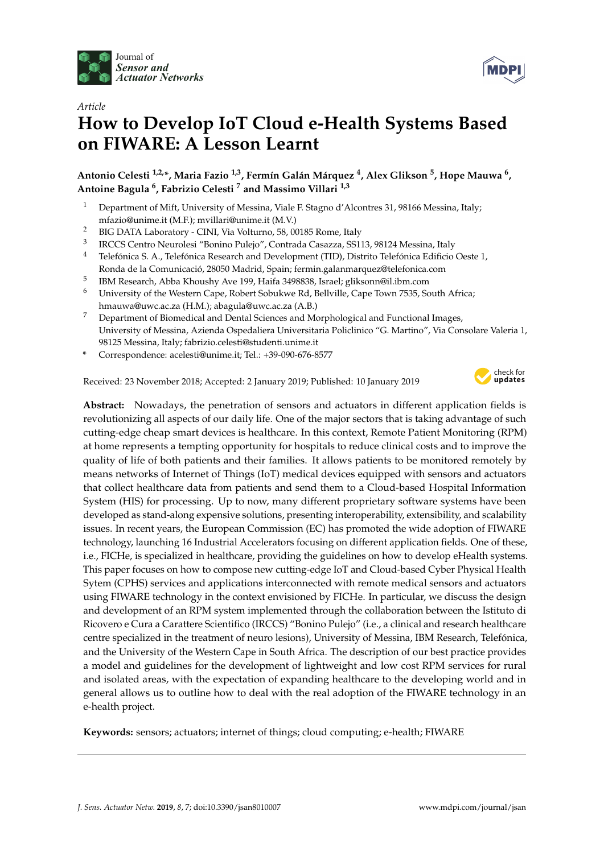



# *Article* **How to Develop IoT Cloud e-Health Systems Based on FIWARE: A Lesson Learnt**

# **Antonio Celesti 1,2,\*, Maria Fazio 1,3, Fermín Galán Márquez <sup>4</sup> , Alex Glikson <sup>5</sup> , Hope Mauwa <sup>6</sup> , Antoine Bagula <sup>6</sup> , Fabrizio Celesti <sup>7</sup> and Massimo Villari 1,3**

- <sup>1</sup> Department of Mift, University of Messina, Viale F. Stagno d'Alcontres 31, 98166 Messina, Italy; mfazio@unime.it (M.F.); mvillari@unime.it (M.V.)
- <sup>2</sup> BIG DATA Laboratory CINI, Via Volturno, 58, 00185 Rome, Italy
- 3 IRCCS Centro Neurolesi "Bonino Pulejo", Contrada Casazza, SS113, 98124 Messina, Italy
- <sup>4</sup> Telefónica S. A., Telefónica Research and Development (TID), Distrito Telefónica Edificio Oeste 1, Ronda de la Comunicació, 28050 Madrid, Spain; fermin.galanmarquez@telefonica.com
- 5 IBM Research, Abba Khoushy Ave 199, Haifa 3498838, Israel; gliksonn@il.ibm.com
- <sup>6</sup> University of the Western Cape, Robert Sobukwe Rd, Bellville, Cape Town 7535, South Africa; hmauwa@uwc.ac.za (H.M.); abagula@uwc.ac.za (A.B.)
- <sup>7</sup> Department of Biomedical and Dental Sciences and Morphological and Functional Images, University of Messina, Azienda Ospedaliera Universitaria Policlinico "G. Martino", Via Consolare Valeria 1, 98125 Messina, Italy; fabrizio.celesti@studenti.unime.it
- **\*** Correspondence: acelesti@unime.it; Tel.: +39-090-676-8577

Received: 23 November 2018; Accepted: 2 January 2019; Published: 10 January 2019



**Abstract:** Nowadays, the penetration of sensors and actuators in different application fields is revolutionizing all aspects of our daily life. One of the major sectors that is taking advantage of such cutting-edge cheap smart devices is healthcare. In this context, Remote Patient Monitoring (RPM) at home represents a tempting opportunity for hospitals to reduce clinical costs and to improve the quality of life of both patients and their families. It allows patients to be monitored remotely by means networks of Internet of Things (IoT) medical devices equipped with sensors and actuators that collect healthcare data from patients and send them to a Cloud-based Hospital Information System (HIS) for processing. Up to now, many different proprietary software systems have been developed as stand-along expensive solutions, presenting interoperability, extensibility, and scalability issues. In recent years, the European Commission (EC) has promoted the wide adoption of FIWARE technology, launching 16 Industrial Accelerators focusing on different application fields. One of these, i.e., FICHe, is specialized in healthcare, providing the guidelines on how to develop eHealth systems. This paper focuses on how to compose new cutting-edge IoT and Cloud-based Cyber Physical Health Sytem (CPHS) services and applications interconnected with remote medical sensors and actuators using FIWARE technology in the context envisioned by FICHe. In particular, we discuss the design and development of an RPM system implemented through the collaboration between the Istituto di Ricovero e Cura a Carattere Scientifico (IRCCS) "Bonino Pulejo" (i.e., a clinical and research healthcare centre specialized in the treatment of neuro lesions), University of Messina, IBM Research, Telefónica, and the University of the Western Cape in South Africa. The description of our best practice provides a model and guidelines for the development of lightweight and low cost RPM services for rural and isolated areas, with the expectation of expanding healthcare to the developing world and in general allows us to outline how to deal with the real adoption of the FIWARE technology in an e-health project.

**Keywords:** sensors; actuators; internet of things; cloud computing; e-health; FIWARE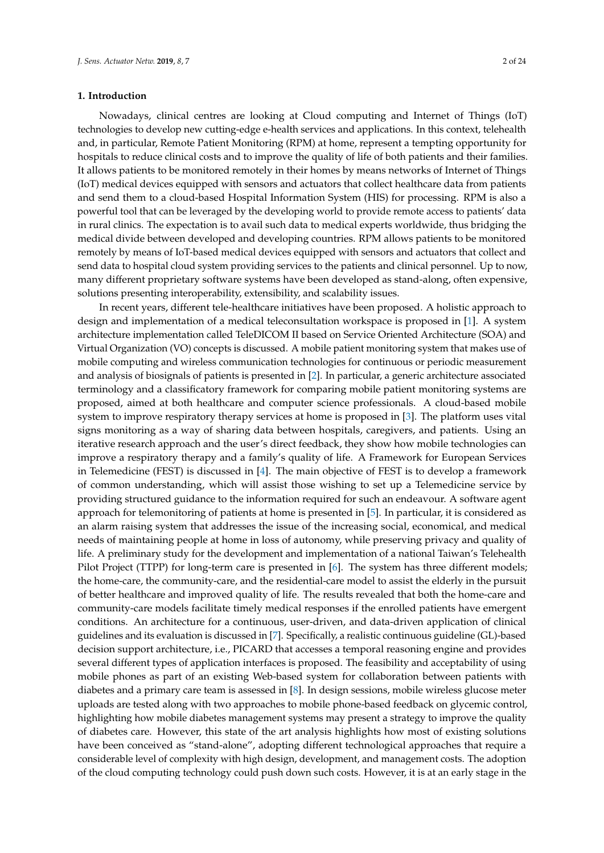#### **1. Introduction**

Nowadays, clinical centres are looking at Cloud computing and Internet of Things (IoT) technologies to develop new cutting-edge e-health services and applications. In this context, telehealth and, in particular, Remote Patient Monitoring (RPM) at home, represent a tempting opportunity for hospitals to reduce clinical costs and to improve the quality of life of both patients and their families. It allows patients to be monitored remotely in their homes by means networks of Internet of Things (IoT) medical devices equipped with sensors and actuators that collect healthcare data from patients and send them to a cloud-based Hospital Information System (HIS) for processing. RPM is also a powerful tool that can be leveraged by the developing world to provide remote access to patients' data in rural clinics. The expectation is to avail such data to medical experts worldwide, thus bridging the medical divide between developed and developing countries. RPM allows patients to be monitored remotely by means of IoT-based medical devices equipped with sensors and actuators that collect and send data to hospital cloud system providing services to the patients and clinical personnel. Up to now, many different proprietary software systems have been developed as stand-along, often expensive, solutions presenting interoperability, extensibility, and scalability issues.

In recent years, different tele-healthcare initiatives have been proposed. A holistic approach to design and implementation of a medical teleconsultation workspace is proposed in [\[1\]](#page-20-0). A system architecture implementation called TeleDICOM II based on Service Oriented Architecture (SOA) and Virtual Organization (VO) concepts is discussed. A mobile patient monitoring system that makes use of mobile computing and wireless communication technologies for continuous or periodic measurement and analysis of biosignals of patients is presented in [\[2\]](#page-21-0). In particular, a generic architecture associated terminology and a classificatory framework for comparing mobile patient monitoring systems are proposed, aimed at both healthcare and computer science professionals. A cloud-based mobile system to improve respiratory therapy services at home is proposed in [\[3\]](#page-21-1). The platform uses vital signs monitoring as a way of sharing data between hospitals, caregivers, and patients. Using an iterative research approach and the user's direct feedback, they show how mobile technologies can improve a respiratory therapy and a family's quality of life. A Framework for European Services in Telemedicine (FEST) is discussed in [\[4\]](#page-21-2). The main objective of FEST is to develop a framework of common understanding, which will assist those wishing to set up a Telemedicine service by providing structured guidance to the information required for such an endeavour. A software agent approach for telemonitoring of patients at home is presented in [\[5\]](#page-21-3). In particular, it is considered as an alarm raising system that addresses the issue of the increasing social, economical, and medical needs of maintaining people at home in loss of autonomy, while preserving privacy and quality of life. A preliminary study for the development and implementation of a national Taiwan's Telehealth Pilot Project (TTPP) for long-term care is presented in [\[6\]](#page-21-4). The system has three different models; the home-care, the community-care, and the residential-care model to assist the elderly in the pursuit of better healthcare and improved quality of life. The results revealed that both the home-care and community-care models facilitate timely medical responses if the enrolled patients have emergent conditions. An architecture for a continuous, user-driven, and data-driven application of clinical guidelines and its evaluation is discussed in [\[7\]](#page-21-5). Specifically, a realistic continuous guideline (GL)-based decision support architecture, i.e., PICARD that accesses a temporal reasoning engine and provides several different types of application interfaces is proposed. The feasibility and acceptability of using mobile phones as part of an existing Web-based system for collaboration between patients with diabetes and a primary care team is assessed in [\[8\]](#page-21-6). In design sessions, mobile wireless glucose meter uploads are tested along with two approaches to mobile phone-based feedback on glycemic control, highlighting how mobile diabetes management systems may present a strategy to improve the quality of diabetes care. However, this state of the art analysis highlights how most of existing solutions have been conceived as "stand-alone", adopting different technological approaches that require a considerable level of complexity with high design, development, and management costs. The adoption of the cloud computing technology could push down such costs. However, it is at an early stage in the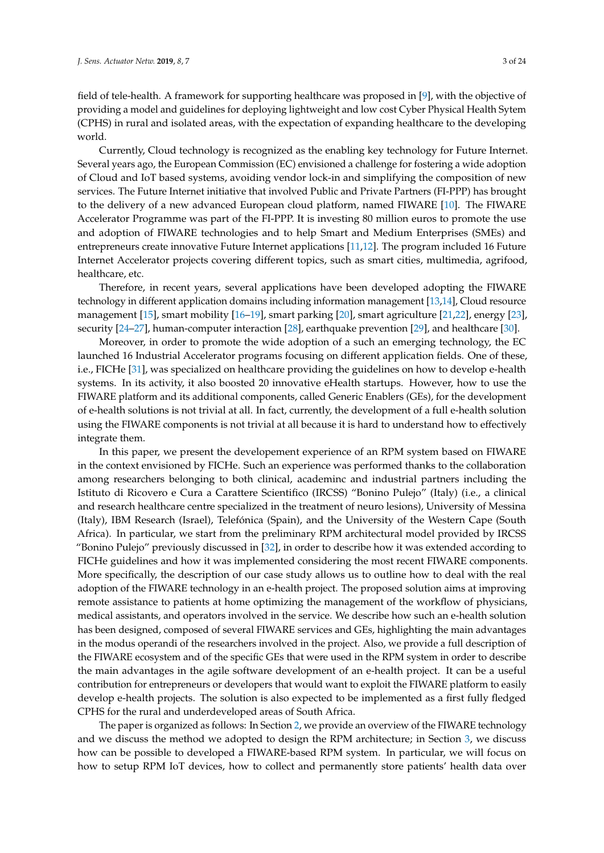field of tele-health. A framework for supporting healthcare was proposed in [\[9\]](#page-21-7), with the objective of providing a model and guidelines for deploying lightweight and low cost Cyber Physical Health Sytem (CPHS) in rural and isolated areas, with the expectation of expanding healthcare to the developing world.

Currently, Cloud technology is recognized as the enabling key technology for Future Internet. Several years ago, the European Commission (EC) envisioned a challenge for fostering a wide adoption of Cloud and IoT based systems, avoiding vendor lock-in and simplifying the composition of new services. The Future Internet initiative that involved Public and Private Partners (FI-PPP) has brought to the delivery of a new advanced European cloud platform, named FIWARE [\[10\]](#page-21-8). The FIWARE Accelerator Programme was part of the FI-PPP. It is investing 80 million euros to promote the use and adoption of FIWARE technologies and to help Smart and Medium Enterprises (SMEs) and entrepreneurs create innovative Future Internet applications [\[11,](#page-21-9)[12\]](#page-21-10). The program included 16 Future Internet Accelerator projects covering different topics, such as smart cities, multimedia, agrifood, healthcare, etc.

Therefore, in recent years, several applications have been developed adopting the FIWARE technology in different application domains including information management [\[13,](#page-21-11)[14\]](#page-21-12), Cloud resource management [\[15\]](#page-21-13), smart mobility [\[16–](#page-21-14)[19\]](#page-21-15), smart parking [\[20\]](#page-21-16), smart agriculture [\[21](#page-22-0)[,22\]](#page-22-1), energy [\[23\]](#page-22-2), security [\[24](#page-22-3)[–27\]](#page-22-4), human-computer interaction [\[28\]](#page-22-5), earthquake prevention [\[29\]](#page-22-6), and healthcare [\[30\]](#page-22-7).

Moreover, in order to promote the wide adoption of a such an emerging technology, the EC launched 16 Industrial Accelerator programs focusing on different application fields. One of these, i.e., FICHe [\[31\]](#page-22-8), was specialized on healthcare providing the guidelines on how to develop e-health systems. In its activity, it also boosted 20 innovative eHealth startups. However, how to use the FIWARE platform and its additional components, called Generic Enablers (GEs), for the development of e-health solutions is not trivial at all. In fact, currently, the development of a full e-health solution using the FIWARE components is not trivial at all because it is hard to understand how to effectively integrate them.

In this paper, we present the developement experience of an RPM system based on FIWARE in the context envisioned by FICHe. Such an experience was performed thanks to the collaboration among researchers belonging to both clinical, academinc and industrial partners including the Istituto di Ricovero e Cura a Carattere Scientifico (IRCSS) "Bonino Pulejo" (Italy) (i.e., a clinical and research healthcare centre specialized in the treatment of neuro lesions), University of Messina (Italy), IBM Research (Israel), Telefónica (Spain), and the University of the Western Cape (South Africa). In particular, we start from the preliminary RPM architectural model provided by IRCSS "Bonino Pulejo" previously discussed in [\[32\]](#page-22-9), in order to describe how it was extended according to FICHe guidelines and how it was implemented considering the most recent FIWARE components. More specifically, the description of our case study allows us to outline how to deal with the real adoption of the FIWARE technology in an e-health project. The proposed solution aims at improving remote assistance to patients at home optimizing the management of the workflow of physicians, medical assistants, and operators involved in the service. We describe how such an e-health solution has been designed, composed of several FIWARE services and GEs, highlighting the main advantages in the modus operandi of the researchers involved in the project. Also, we provide a full description of the FIWARE ecosystem and of the specific GEs that were used in the RPM system in order to describe the main advantages in the agile software development of an e-health project. It can be a useful contribution for entrepreneurs or developers that would want to exploit the FIWARE platform to easily develop e-health projects. The solution is also expected to be implemented as a first fully fledged CPHS for the rural and underdeveloped areas of South Africa.

The paper is organized as follows: In Section [2,](#page-3-0) we provide an overview of the FIWARE technology and we discuss the method we adopted to design the RPM architecture; in Section [3,](#page-7-0) we discuss how can be possible to developed a FIWARE-based RPM system. In particular, we will focus on how to setup RPM IoT devices, how to collect and permanently store patients' health data over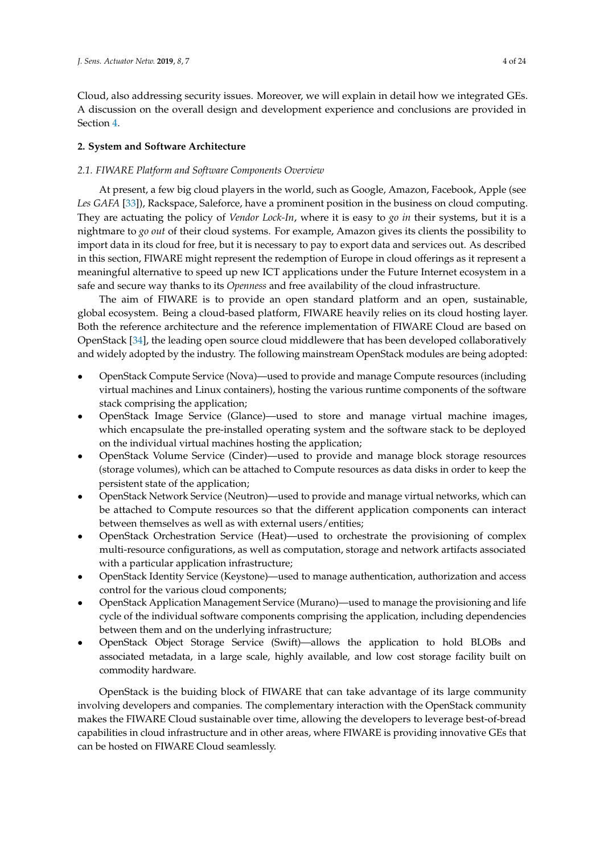Cloud, also addressing security issues. Moreover, we will explain in detail how we integrated GEs. A discussion on the overall design and development experience and conclusions are provided in Section [4.](#page-20-1)

# <span id="page-3-0"></span>**2. System and Software Architecture**

# <span id="page-3-1"></span>*2.1. FIWARE Platform and Software Components Overview*

At present, a few big cloud players in the world, such as Google, Amazon, Facebook, Apple (see *Les GAFA* [\[33\]](#page-22-10)), Rackspace, Saleforce, have a prominent position in the business on cloud computing. They are actuating the policy of *Vendor Lock-In*, where it is easy to *go in* their systems, but it is a nightmare to *go out* of their cloud systems. For example, Amazon gives its clients the possibility to import data in its cloud for free, but it is necessary to pay to export data and services out. As described in this section, FIWARE might represent the redemption of Europe in cloud offerings as it represent a meaningful alternative to speed up new ICT applications under the Future Internet ecosystem in a safe and secure way thanks to its *Openness* and free availability of the cloud infrastructure.

The aim of FIWARE is to provide an open standard platform and an open, sustainable, global ecosystem. Being a cloud-based platform, FIWARE heavily relies on its cloud hosting layer. Both the reference architecture and the reference implementation of FIWARE Cloud are based on OpenStack [\[34\]](#page-22-11), the leading open source cloud middlewere that has been developed collaboratively and widely adopted by the industry. The following mainstream OpenStack modules are being adopted:

- OpenStack Compute Service (Nova)—used to provide and manage Compute resources (including virtual machines and Linux containers), hosting the various runtime components of the software stack comprising the application;
- OpenStack Image Service (Glance)—used to store and manage virtual machine images, which encapsulate the pre-installed operating system and the software stack to be deployed on the individual virtual machines hosting the application;
- OpenStack Volume Service (Cinder)—used to provide and manage block storage resources (storage volumes), which can be attached to Compute resources as data disks in order to keep the persistent state of the application;
- OpenStack Network Service (Neutron)—used to provide and manage virtual networks, which can be attached to Compute resources so that the different application components can interact between themselves as well as with external users/entities;
- OpenStack Orchestration Service (Heat)—used to orchestrate the provisioning of complex multi-resource configurations, as well as computation, storage and network artifacts associated with a particular application infrastructure;
- OpenStack Identity Service (Keystone)—used to manage authentication, authorization and access control for the various cloud components;
- OpenStack Application Management Service (Murano)—used to manage the provisioning and life cycle of the individual software components comprising the application, including dependencies between them and on the underlying infrastructure;
- OpenStack Object Storage Service (Swift)—allows the application to hold BLOBs and associated metadata, in a large scale, highly available, and low cost storage facility built on commodity hardware.

OpenStack is the buiding block of FIWARE that can take advantage of its large community involving developers and companies. The complementary interaction with the OpenStack community makes the FIWARE Cloud sustainable over time, allowing the developers to leverage best-of-bread capabilities in cloud infrastructure and in other areas, where FIWARE is providing innovative GEs that can be hosted on FIWARE Cloud seamlessly.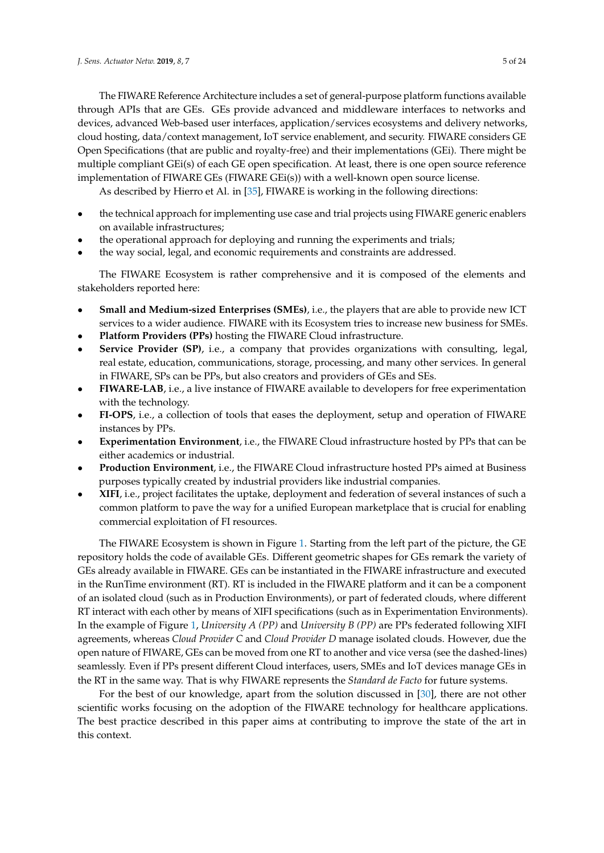The FIWARE Reference Architecture includes a set of general-purpose platform functions available through APIs that are GEs. GEs provide advanced and middleware interfaces to networks and devices, advanced Web-based user interfaces, application/services ecosystems and delivery networks, cloud hosting, data/context management, IoT service enablement, and security. FIWARE considers GE Open Specifications (that are public and royalty-free) and their implementations (GEi). There might be multiple compliant GEi(s) of each GE open specification. At least, there is one open source reference implementation of FIWARE GEs (FIWARE GEi(s)) with a well-known open source license.

As described by Hierro et Al. in [\[35\]](#page-22-12), FIWARE is working in the following directions:

- the technical approach for implementing use case and trial projects using FIWARE generic enablers on available infrastructures;
- the operational approach for deploying and running the experiments and trials;
- the way social, legal, and economic requirements and constraints are addressed.

The FIWARE Ecosystem is rather comprehensive and it is composed of the elements and stakeholders reported here:

- **Small and Medium-sized Enterprises (SMEs)**, i.e., the players that are able to provide new ICT services to a wider audience. FIWARE with its Ecosystem tries to increase new business for SMEs.
- **Platform Providers (PPs)** hosting the FIWARE Cloud infrastructure.
- **Service Provider (SP)**, i.e., a company that provides organizations with consulting, legal, real estate, education, communications, storage, processing, and many other services. In general in FIWARE, SPs can be PPs, but also creators and providers of GEs and SEs.
- **FIWARE-LAB**, i.e., a live instance of FIWARE available to developers for free experimentation with the technology.
- **FI-OPS**, i.e., a collection of tools that eases the deployment, setup and operation of FIWARE instances by PPs.
- **Experimentation Environment**, i.e., the FIWARE Cloud infrastructure hosted by PPs that can be either academics or industrial.
- **Production Environment**, i.e., the FIWARE Cloud infrastructure hosted PPs aimed at Business purposes typically created by industrial providers like industrial companies.
- **XIFI**, i.e., project facilitates the uptake, deployment and federation of several instances of such a common platform to pave the way for a unified European marketplace that is crucial for enabling commercial exploitation of FI resources.

The FIWARE Ecosystem is shown in Figure [1.](#page-5-0) Starting from the left part of the picture, the GE repository holds the code of available GEs. Different geometric shapes for GEs remark the variety of GEs already available in FIWARE. GEs can be instantiated in the FIWARE infrastructure and executed in the RunTime environment (RT). RT is included in the FIWARE platform and it can be a component of an isolated cloud (such as in Production Environments), or part of federated clouds, where different RT interact with each other by means of XIFI specifications (such as in Experimentation Environments). In the example of Figure [1,](#page-5-0) *University A (PP)* and *University B (PP)* are PPs federated following XIFI agreements, whereas *Cloud Provider C* and *Cloud Provider D* manage isolated clouds. However, due the open nature of FIWARE, GEs can be moved from one RT to another and vice versa (see the dashed-lines) seamlessly. Even if PPs present different Cloud interfaces, users, SMEs and IoT devices manage GEs in the RT in the same way. That is why FIWARE represents the *Standard de Facto* for future systems.

For the best of our knowledge, apart from the solution discussed in [\[30\]](#page-22-7), there are not other scientific works focusing on the adoption of the FIWARE technology for healthcare applications. The best practice described in this paper aims at contributing to improve the state of the art in this context.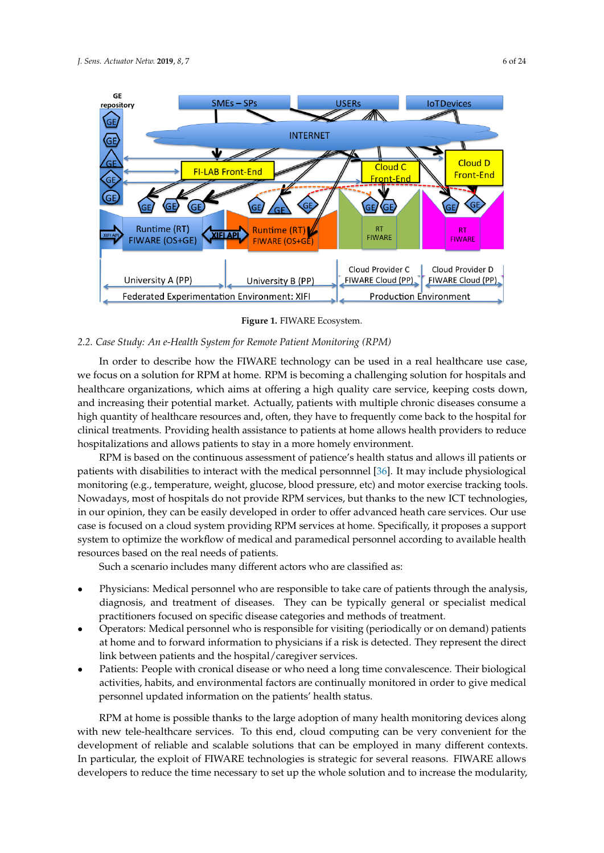<span id="page-5-0"></span>

**Figure 1.** FIWARE Ecosystem.

# *2.2. Case Study: An e-Health System for Remote Patient Monitoring (RPM)*

In order to describe how the FIWARE technology can be used in a real healthcare use case, we focus on a solution for RPM at home. RPM is becoming a challenging solution for hospitals and healthcare organizations, which aims at offering a high quality care service, keeping costs down, and increasing their potential market. Actually, patients with multiple chronic diseases consume a high quantity of healthcare resources and, often, they have to frequently come back to the hospital for clinical treatments. Providing health assistance to patients at home allows health providers to reduce hospitalizations and allows patients to stay in a more homely environment.

RPM is based on the continuous assessment of patience's health status and allows ill patients or patients with disabilities to interact with the medical personnnel [\[36\]](#page-22-13). It may include physiological monitoring (e.g., temperature, weight, glucose, blood pressure, etc) and motor exercise tracking tools. Nowadays, most of hospitals do not provide RPM services, but thanks to the new ICT technologies, in our opinion, they can be easily developed in order to offer advanced heath care services. Our use case is focused on a cloud system providing RPM services at home. Specifically, it proposes a support system to optimize the workflow of medical and paramedical personnel according to available health resources based on the real needs of patients.

Such a scenario includes many different actors who are classified as:

- Physicians: Medical personnel who are responsible to take care of patients through the analysis, diagnosis, and treatment of diseases. They can be typically general or specialist medical practitioners focused on specific disease categories and methods of treatment.
- Operators: Medical personnel who is responsible for visiting (periodically or on demand) patients at home and to forward information to physicians if a risk is detected. They represent the direct link between patients and the hospital/caregiver services.
- Patients: People with cronical disease or who need a long time convalescence. Their biological activities, habits, and environmental factors are continually monitored in order to give medical personnel updated information on the patients' health status.

RPM at home is possible thanks to the large adoption of many health monitoring devices along with new tele-healthcare services. To this end, cloud computing can be very convenient for the development of reliable and scalable solutions that can be employed in many different contexts. In particular, the exploit of FIWARE technologies is strategic for several reasons. FIWARE allows developers to reduce the time necessary to set up the whole solution and to increase the modularity,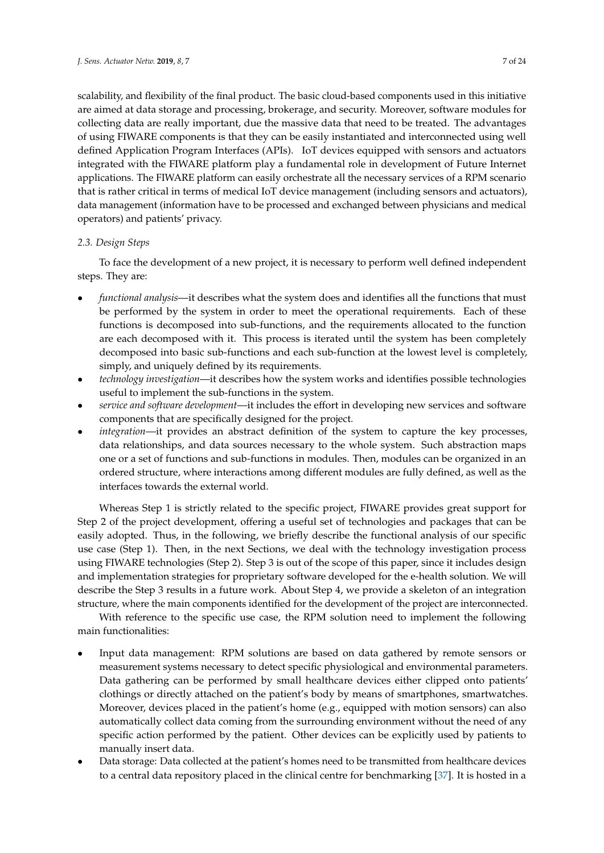scalability, and flexibility of the final product. The basic cloud-based components used in this initiative are aimed at data storage and processing, brokerage, and security. Moreover, software modules for collecting data are really important, due the massive data that need to be treated. The advantages of using FIWARE components is that they can be easily instantiated and interconnected using well defined Application Program Interfaces (APIs). IoT devices equipped with sensors and actuators integrated with the FIWARE platform play a fundamental role in development of Future Internet applications. The FIWARE platform can easily orchestrate all the necessary services of a RPM scenario that is rather critical in terms of medical IoT device management (including sensors and actuators), data management (information have to be processed and exchanged between physicians and medical operators) and patients' privacy.

## *2.3. Design Steps*

To face the development of a new project, it is necessary to perform well defined independent steps. They are:

- *functional analysis*—it describes what the system does and identifies all the functions that must be performed by the system in order to meet the operational requirements. Each of these functions is decomposed into sub-functions, and the requirements allocated to the function are each decomposed with it. This process is iterated until the system has been completely decomposed into basic sub-functions and each sub-function at the lowest level is completely, simply, and uniquely defined by its requirements.
- *technology investigation*—it describes how the system works and identifies possible technologies useful to implement the sub-functions in the system.
- *service and software development*—it includes the effort in developing new services and software components that are specifically designed for the project.
- *integration*—it provides an abstract definition of the system to capture the key processes, data relationships, and data sources necessary to the whole system. Such abstraction maps one or a set of functions and sub-functions in modules. Then, modules can be organized in an ordered structure, where interactions among different modules are fully defined, as well as the interfaces towards the external world.

Whereas Step 1 is strictly related to the specific project, FIWARE provides great support for Step 2 of the project development, offering a useful set of technologies and packages that can be easily adopted. Thus, in the following, we briefly describe the functional analysis of our specific use case (Step 1). Then, in the next Sections, we deal with the technology investigation process using FIWARE technologies (Step 2). Step 3 is out of the scope of this paper, since it includes design and implementation strategies for proprietary software developed for the e-health solution. We will describe the Step 3 results in a future work. About Step 4, we provide a skeleton of an integration structure, where the main components identified for the development of the project are interconnected.

With reference to the specific use case, the RPM solution need to implement the following main functionalities:

- Input data management: RPM solutions are based on data gathered by remote sensors or measurement systems necessary to detect specific physiological and environmental parameters. Data gathering can be performed by small healthcare devices either clipped onto patients' clothings or directly attached on the patient's body by means of smartphones, smartwatches. Moreover, devices placed in the patient's home (e.g., equipped with motion sensors) can also automatically collect data coming from the surrounding environment without the need of any specific action performed by the patient. Other devices can be explicitly used by patients to manually insert data.
- Data storage: Data collected at the patient's homes need to be transmitted from healthcare devices to a central data repository placed in the clinical centre for benchmarking [\[37\]](#page-22-14). It is hosted in a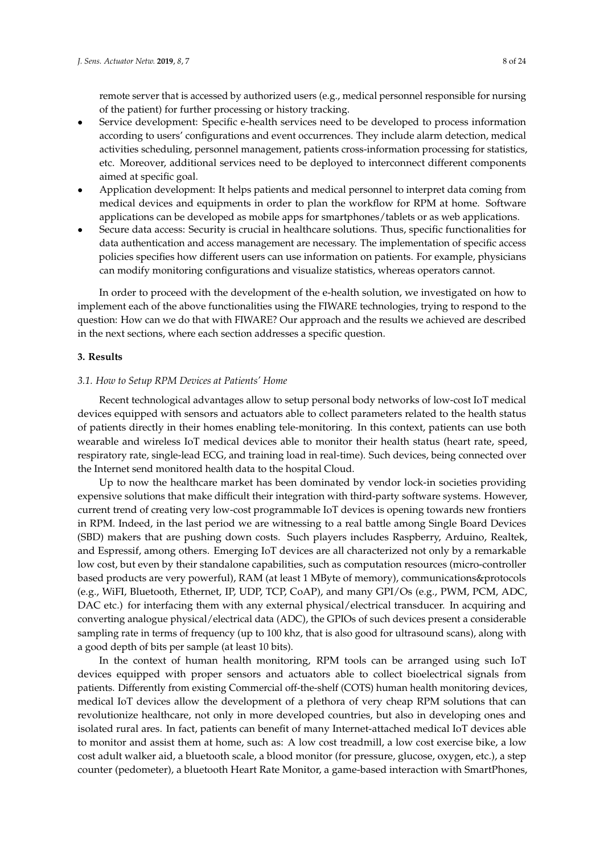remote server that is accessed by authorized users (e.g., medical personnel responsible for nursing of the patient) for further processing or history tracking.

- Service development: Specific e-health services need to be developed to process information according to users' configurations and event occurrences. They include alarm detection, medical activities scheduling, personnel management, patients cross-information processing for statistics, etc. Moreover, additional services need to be deployed to interconnect different components aimed at specific goal.
- Application development: It helps patients and medical personnel to interpret data coming from medical devices and equipments in order to plan the workflow for RPM at home. Software applications can be developed as mobile apps for smartphones/tablets or as web applications.
- Secure data access: Security is crucial in healthcare solutions. Thus, specific functionalities for data authentication and access management are necessary. The implementation of specific access policies specifies how different users can use information on patients. For example, physicians can modify monitoring configurations and visualize statistics, whereas operators cannot.

In order to proceed with the development of the e-health solution, we investigated on how to implement each of the above functionalities using the FIWARE technologies, trying to respond to the question: How can we do that with FIWARE? Our approach and the results we achieved are described in the next sections, where each section addresses a specific question.

#### <span id="page-7-0"></span>**3. Results**

#### *3.1. How to Setup RPM Devices at Patients' Home*

Recent technological advantages allow to setup personal body networks of low-cost IoT medical devices equipped with sensors and actuators able to collect parameters related to the health status of patients directly in their homes enabling tele-monitoring. In this context, patients can use both wearable and wireless IoT medical devices able to monitor their health status (heart rate, speed, respiratory rate, single-lead ECG, and training load in real-time). Such devices, being connected over the Internet send monitored health data to the hospital Cloud.

Up to now the healthcare market has been dominated by vendor lock-in societies providing expensive solutions that make difficult their integration with third-party software systems. However, current trend of creating very low-cost programmable IoT devices is opening towards new frontiers in RPM. Indeed, in the last period we are witnessing to a real battle among Single Board Devices (SBD) makers that are pushing down costs. Such players includes Raspberry, Arduino, Realtek, and Espressif, among others. Emerging IoT devices are all characterized not only by a remarkable low cost, but even by their standalone capabilities, such as computation resources (micro-controller based products are very powerful), RAM (at least 1 MByte of memory), communications&protocols (e.g., WiFI, Bluetooth, Ethernet, IP, UDP, TCP, CoAP), and many GPI/Os (e.g., PWM, PCM, ADC, DAC etc.) for interfacing them with any external physical/electrical transducer. In acquiring and converting analogue physical/electrical data (ADC), the GPIOs of such devices present a considerable sampling rate in terms of frequency (up to 100 khz, that is also good for ultrasound scans), along with a good depth of bits per sample (at least 10 bits).

In the context of human health monitoring, RPM tools can be arranged using such IoT devices equipped with proper sensors and actuators able to collect bioelectrical signals from patients. Differently from existing Commercial off-the-shelf (COTS) human health monitoring devices, medical IoT devices allow the development of a plethora of very cheap RPM solutions that can revolutionize healthcare, not only in more developed countries, but also in developing ones and isolated rural ares. In fact, patients can benefit of many Internet-attached medical IoT devices able to monitor and assist them at home, such as: A low cost treadmill, a low cost exercise bike, a low cost adult walker aid, a bluetooth scale, a blood monitor (for pressure, glucose, oxygen, etc.), a step counter (pedometer), a bluetooth Heart Rate Monitor, a game-based interaction with SmartPhones,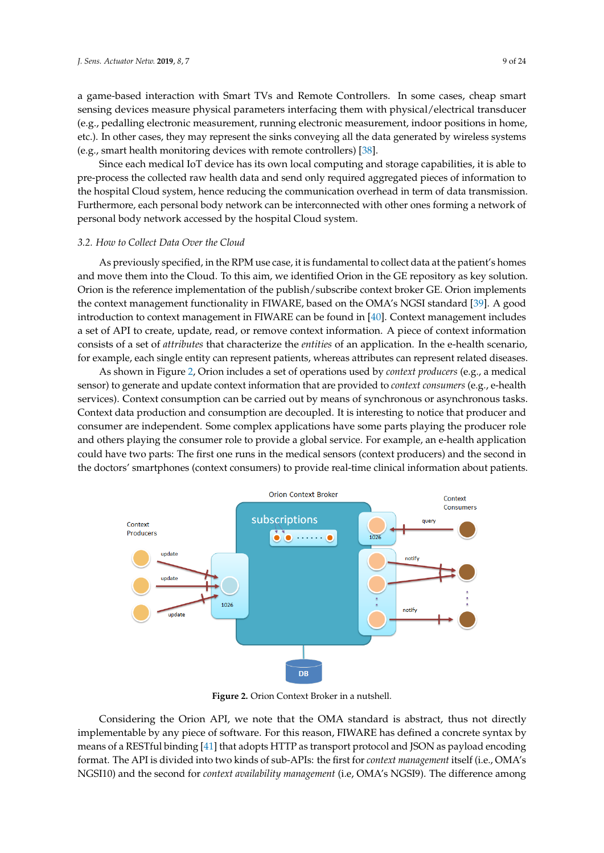a game-based interaction with Smart TVs and Remote Controllers. In some cases, cheap smart sensing devices measure physical parameters interfacing them with physical/electrical transducer (e.g., pedalling electronic measurement, running electronic measurement, indoor positions in home, etc.). In other cases, they may represent the sinks conveying all the data generated by wireless systems (e.g., smart health monitoring devices with remote controllers) [\[38\]](#page-22-15).

Since each medical IoT device has its own local computing and storage capabilities, it is able to pre-process the collected raw health data and send only required aggregated pieces of information to the hospital Cloud system, hence reducing the communication overhead in term of data transmission. Furthermore, each personal body network can be interconnected with other ones forming a network of personal body network accessed by the hospital Cloud system.

#### *3.2. How to Collect Data Over the Cloud*

As previously specified, in the RPM use case, it is fundamental to collect data at the patient's homes and move them into the Cloud. To this aim, we identified Orion in the GE repository as key solution. Orion is the reference implementation of the publish/subscribe context broker GE. Orion implements the context management functionality in FIWARE, based on the OMA's NGSI standard [\[39\]](#page-23-0). A good introduction to context management in FIWARE can be found in [\[40\]](#page-23-1). Context management includes a set of API to create, update, read, or remove context information. A piece of context information consists of a set of *attributes* that characterize the *entities* of an application. In the e-health scenario, for example, each single entity can represent patients, whereas attributes can represent related diseases.

As shown in Figure [2,](#page-8-0) Orion includes a set of operations used by *context producers* (e.g., a medical sensor) to generate and update context information that are provided to *context consumers* (e.g., e-health services). Context consumption can be carried out by means of synchronous or asynchronous tasks. Context data production and consumption are decoupled. It is interesting to notice that producer and consumer are independent. Some complex applications have some parts playing the producer role and others playing the consumer role to provide a global service. For example, an e-health application could have two parts: The first one runs in the medical sensors (context producers) and the second in the doctors' smartphones (context consumers) to provide real-time clinical information about patients.

<span id="page-8-0"></span>

**Figure 2.** Orion Context Broker in a nutshell.

Considering the Orion API, we note that the OMA standard is abstract, thus not directly implementable by any piece of software. For this reason, FIWARE has defined a concrete syntax by means of a RESTful binding [\[41\]](#page-23-2) that adopts HTTP as transport protocol and JSON as payload encoding format. The API is divided into two kinds of sub-APIs: the first for *context management* itself (i.e., OMA's NGSI10) and the second for *context availability management* (i.e, OMA's NGSI9). The difference among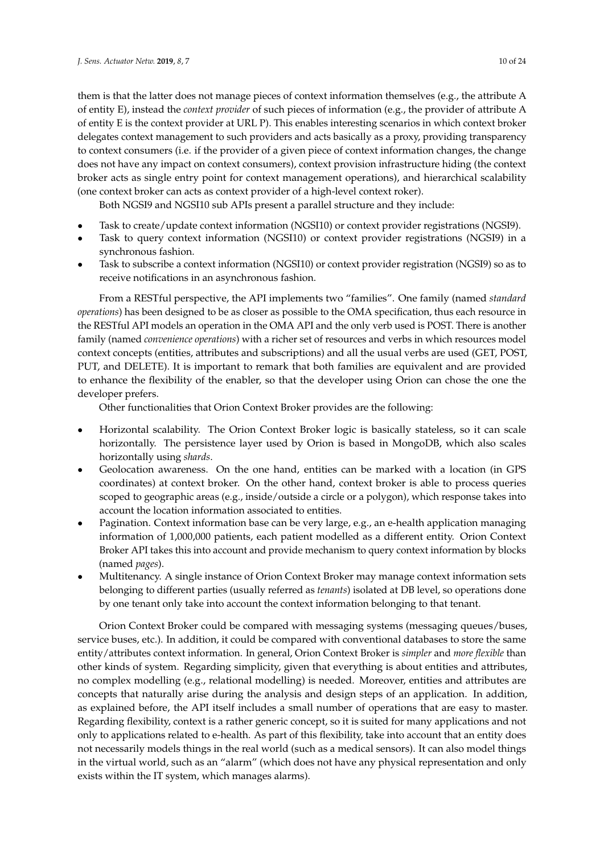them is that the latter does not manage pieces of context information themselves (e.g., the attribute A of entity E), instead the *context provider* of such pieces of information (e.g., the provider of attribute A of entity E is the context provider at URL P). This enables interesting scenarios in which context broker delegates context management to such providers and acts basically as a proxy, providing transparency to context consumers (i.e. if the provider of a given piece of context information changes, the change does not have any impact on context consumers), context provision infrastructure hiding (the context broker acts as single entry point for context management operations), and hierarchical scalability (one context broker can acts as context provider of a high-level context roker).

Both NGSI9 and NGSI10 sub APIs present a parallel structure and they include:

- Task to create/update context information (NGSI10) or context provider registrations (NGSI9).
- Task to query context information (NGSI10) or context provider registrations (NGSI9) in a synchronous fashion.
- Task to subscribe a context information (NGSI10) or context provider registration (NGSI9) so as to receive notifications in an asynchronous fashion.

From a RESTful perspective, the API implements two "families". One family (named *standard operations*) has been designed to be as closer as possible to the OMA specification, thus each resource in the RESTful API models an operation in the OMA API and the only verb used is POST. There is another family (named *convenience operations*) with a richer set of resources and verbs in which resources model context concepts (entities, attributes and subscriptions) and all the usual verbs are used (GET, POST, PUT, and DELETE). It is important to remark that both families are equivalent and are provided to enhance the flexibility of the enabler, so that the developer using Orion can chose the one the developer prefers.

Other functionalities that Orion Context Broker provides are the following:

- Horizontal scalability. The Orion Context Broker logic is basically stateless, so it can scale horizontally. The persistence layer used by Orion is based in MongoDB, which also scales horizontally using *shards*.
- Geolocation awareness. On the one hand, entities can be marked with a location (in GPS coordinates) at context broker. On the other hand, context broker is able to process queries scoped to geographic areas (e.g., inside/outside a circle or a polygon), which response takes into account the location information associated to entities.
- Pagination. Context information base can be very large, e.g., an e-health application managing information of 1,000,000 patients, each patient modelled as a different entity. Orion Context Broker API takes this into account and provide mechanism to query context information by blocks (named *pages*).
- Multitenancy. A single instance of Orion Context Broker may manage context information sets belonging to different parties (usually referred as *tenants*) isolated at DB level, so operations done by one tenant only take into account the context information belonging to that tenant.

Orion Context Broker could be compared with messaging systems (messaging queues/buses, service buses, etc.). In addition, it could be compared with conventional databases to store the same entity/attributes context information. In general, Orion Context Broker is *simpler* and *more flexible* than other kinds of system. Regarding simplicity, given that everything is about entities and attributes, no complex modelling (e.g., relational modelling) is needed. Moreover, entities and attributes are concepts that naturally arise during the analysis and design steps of an application. In addition, as explained before, the API itself includes a small number of operations that are easy to master. Regarding flexibility, context is a rather generic concept, so it is suited for many applications and not only to applications related to e-health. As part of this flexibility, take into account that an entity does not necessarily models things in the real world (such as a medical sensors). It can also model things in the virtual world, such as an "alarm" (which does not have any physical representation and only exists within the IT system, which manages alarms).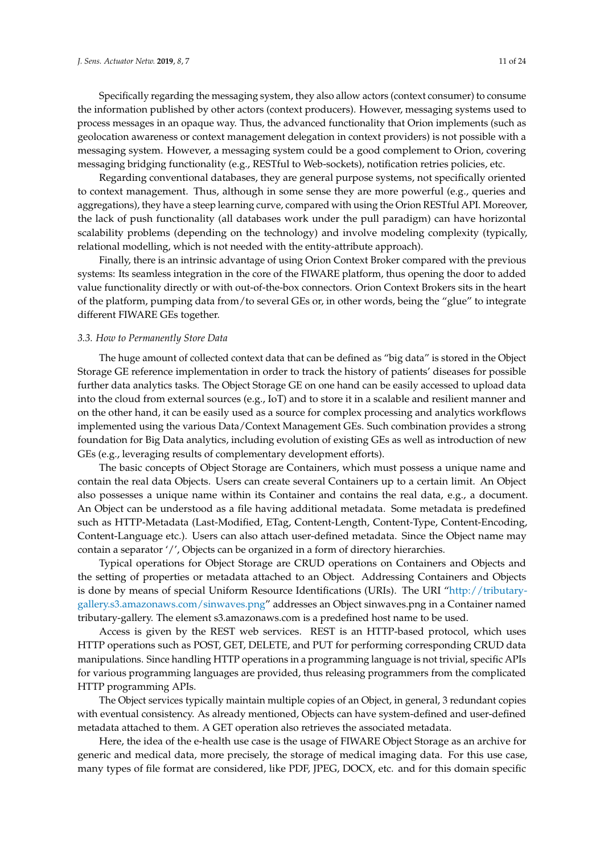Specifically regarding the messaging system, they also allow actors (context consumer) to consume the information published by other actors (context producers). However, messaging systems used to process messages in an opaque way. Thus, the advanced functionality that Orion implements (such as geolocation awareness or context management delegation in context providers) is not possible with a messaging system. However, a messaging system could be a good complement to Orion, covering messaging bridging functionality (e.g., RESTful to Web-sockets), notification retries policies, etc.

Regarding conventional databases, they are general purpose systems, not specifically oriented to context management. Thus, although in some sense they are more powerful (e.g., queries and aggregations), they have a steep learning curve, compared with using the Orion RESTful API. Moreover, the lack of push functionality (all databases work under the pull paradigm) can have horizontal scalability problems (depending on the technology) and involve modeling complexity (typically, relational modelling, which is not needed with the entity-attribute approach).

Finally, there is an intrinsic advantage of using Orion Context Broker compared with the previous systems: Its seamless integration in the core of the FIWARE platform, thus opening the door to added value functionality directly or with out-of-the-box connectors. Orion Context Brokers sits in the heart of the platform, pumping data from/to several GEs or, in other words, being the "glue" to integrate different FIWARE GEs together.

#### *3.3. How to Permanently Store Data*

The huge amount of collected context data that can be defined as "big data" is stored in the Object Storage GE reference implementation in order to track the history of patients' diseases for possible further data analytics tasks. The Object Storage GE on one hand can be easily accessed to upload data into the cloud from external sources (e.g., IoT) and to store it in a scalable and resilient manner and on the other hand, it can be easily used as a source for complex processing and analytics workflows implemented using the various Data/Context Management GEs. Such combination provides a strong foundation for Big Data analytics, including evolution of existing GEs as well as introduction of new GEs (e.g., leveraging results of complementary development efforts).

The basic concepts of Object Storage are Containers, which must possess a unique name and contain the real data Objects. Users can create several Containers up to a certain limit. An Object also possesses a unique name within its Container and contains the real data, e.g., a document. An Object can be understood as a file having additional metadata. Some metadata is predefined such as HTTP-Metadata (Last-Modified, ETag, Content-Length, Content-Type, Content-Encoding, Content-Language etc.). Users can also attach user-defined metadata. Since the Object name may contain a separator '/', Objects can be organized in a form of directory hierarchies.

Typical operations for Object Storage are CRUD operations on Containers and Objects and the setting of properties or metadata attached to an Object. Addressing Containers and Objects is done by means of special Uniform Resource Identifications (URIs). The URI ["http://tributary](http://tributary-gallery.s3.amazonaws.com/sinwaves.png)[gallery.s3.amazonaws.com/sinwaves.png"](http://tributary-gallery.s3.amazonaws.com/sinwaves.png) addresses an Object sinwaves.png in a Container named tributary-gallery. The element s3.amazonaws.com is a predefined host name to be used.

Access is given by the REST web services. REST is an HTTP-based protocol, which uses HTTP operations such as POST, GET, DELETE, and PUT for performing corresponding CRUD data manipulations. Since handling HTTP operations in a programming language is not trivial, specific APIs for various programming languages are provided, thus releasing programmers from the complicated HTTP programming APIs.

The Object services typically maintain multiple copies of an Object, in general, 3 redundant copies with eventual consistency. As already mentioned, Objects can have system-defined and user-defined metadata attached to them. A GET operation also retrieves the associated metadata.

Here, the idea of the e-health use case is the usage of FIWARE Object Storage as an archive for generic and medical data, more precisely, the storage of medical imaging data. For this use case, many types of file format are considered, like PDF, JPEG, DOCX, etc. and for this domain specific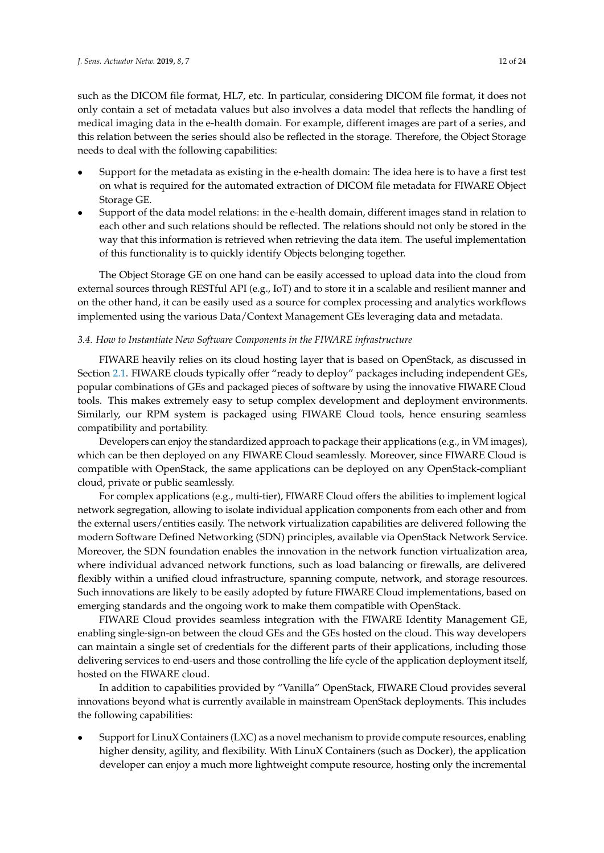such as the DICOM file format, HL7, etc. In particular, considering DICOM file format, it does not only contain a set of metadata values but also involves a data model that reflects the handling of medical imaging data in the e-health domain. For example, different images are part of a series, and this relation between the series should also be reflected in the storage. Therefore, the Object Storage needs to deal with the following capabilities:

- Support for the metadata as existing in the e-health domain: The idea here is to have a first test on what is required for the automated extraction of DICOM file metadata for FIWARE Object Storage GE.
- Support of the data model relations: in the e-health domain, different images stand in relation to each other and such relations should be reflected. The relations should not only be stored in the way that this information is retrieved when retrieving the data item. The useful implementation of this functionality is to quickly identify Objects belonging together.

The Object Storage GE on one hand can be easily accessed to upload data into the cloud from external sources through RESTful API (e.g., IoT) and to store it in a scalable and resilient manner and on the other hand, it can be easily used as a source for complex processing and analytics workflows implemented using the various Data/Context Management GEs leveraging data and metadata.

### *3.4. How to Instantiate New Software Components in the FIWARE infrastructure*

FIWARE heavily relies on its cloud hosting layer that is based on OpenStack, as discussed in Section [2.1.](#page-3-1) FIWARE clouds typically offer "ready to deploy" packages including independent GEs, popular combinations of GEs and packaged pieces of software by using the innovative FIWARE Cloud tools. This makes extremely easy to setup complex development and deployment environments. Similarly, our RPM system is packaged using FIWARE Cloud tools, hence ensuring seamless compatibility and portability.

Developers can enjoy the standardized approach to package their applications (e.g., in VM images), which can be then deployed on any FIWARE Cloud seamlessly. Moreover, since FIWARE Cloud is compatible with OpenStack, the same applications can be deployed on any OpenStack-compliant cloud, private or public seamlessly.

For complex applications (e.g., multi-tier), FIWARE Cloud offers the abilities to implement logical network segregation, allowing to isolate individual application components from each other and from the external users/entities easily. The network virtualization capabilities are delivered following the modern Software Defined Networking (SDN) principles, available via OpenStack Network Service. Moreover, the SDN foundation enables the innovation in the network function virtualization area, where individual advanced network functions, such as load balancing or firewalls, are delivered flexibly within a unified cloud infrastructure, spanning compute, network, and storage resources. Such innovations are likely to be easily adopted by future FIWARE Cloud implementations, based on emerging standards and the ongoing work to make them compatible with OpenStack.

FIWARE Cloud provides seamless integration with the FIWARE Identity Management GE, enabling single-sign-on between the cloud GEs and the GEs hosted on the cloud. This way developers can maintain a single set of credentials for the different parts of their applications, including those delivering services to end-users and those controlling the life cycle of the application deployment itself, hosted on the FIWARE cloud.

In addition to capabilities provided by "Vanilla" OpenStack, FIWARE Cloud provides several innovations beyond what is currently available in mainstream OpenStack deployments. This includes the following capabilities:

• Support for LinuX Containers (LXC) as a novel mechanism to provide compute resources, enabling higher density, agility, and flexibility. With LinuX Containers (such as Docker), the application developer can enjoy a much more lightweight compute resource, hosting only the incremental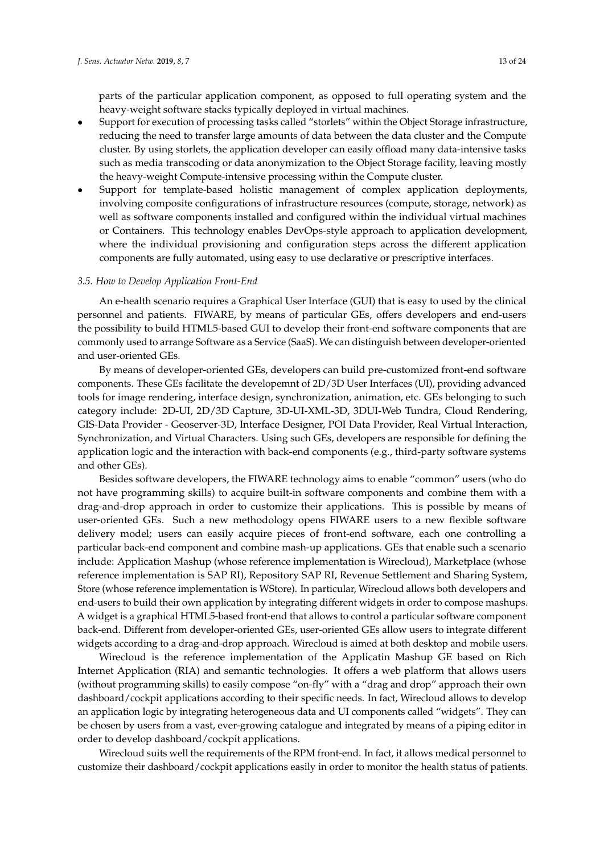parts of the particular application component, as opposed to full operating system and the heavy-weight software stacks typically deployed in virtual machines.

- Support for execution of processing tasks called "storlets" within the Object Storage infrastructure, reducing the need to transfer large amounts of data between the data cluster and the Compute cluster. By using storlets, the application developer can easily offload many data-intensive tasks such as media transcoding or data anonymization to the Object Storage facility, leaving mostly the heavy-weight Compute-intensive processing within the Compute cluster.
- Support for template-based holistic management of complex application deployments, involving composite configurations of infrastructure resources (compute, storage, network) as well as software components installed and configured within the individual virtual machines or Containers. This technology enables DevOps-style approach to application development, where the individual provisioning and configuration steps across the different application components are fully automated, using easy to use declarative or prescriptive interfaces.

## *3.5. How to Develop Application Front-End*

An e-health scenario requires a Graphical User Interface (GUI) that is easy to used by the clinical personnel and patients. FIWARE, by means of particular GEs, offers developers and end-users the possibility to build HTML5-based GUI to develop their front-end software components that are commonly used to arrange Software as a Service (SaaS). We can distinguish between developer-oriented and user-oriented GEs.

By means of developer-oriented GEs, developers can build pre-customized front-end software components. These GEs facilitate the developemnt of 2D/3D User Interfaces (UI), providing advanced tools for image rendering, interface design, synchronization, animation, etc. GEs belonging to such category include: 2D-UI, 2D/3D Capture, 3D-UI-XML-3D, 3DUI-Web Tundra, Cloud Rendering, GIS-Data Provider - Geoserver-3D, Interface Designer, POI Data Provider, Real Virtual Interaction, Synchronization, and Virtual Characters. Using such GEs, developers are responsible for defining the application logic and the interaction with back-end components (e.g., third-party software systems and other GEs).

Besides software developers, the FIWARE technology aims to enable "common" users (who do not have programming skills) to acquire built-in software components and combine them with a drag-and-drop approach in order to customize their applications. This is possible by means of user-oriented GEs. Such a new methodology opens FIWARE users to a new flexible software delivery model; users can easily acquire pieces of front-end software, each one controlling a particular back-end component and combine mash-up applications. GEs that enable such a scenario include: Application Mashup (whose reference implementation is Wirecloud), Marketplace (whose reference implementation is SAP RI), Repository SAP RI, Revenue Settlement and Sharing System, Store (whose reference implementation is WStore). In particular, Wirecloud allows both developers and end-users to build their own application by integrating different widgets in order to compose mashups. A widget is a graphical HTML5-based front-end that allows to control a particular software component back-end. Different from developer-oriented GEs, user-oriented GEs allow users to integrate different widgets according to a drag-and-drop approach. Wirecloud is aimed at both desktop and mobile users.

Wirecloud is the reference implementation of the Applicatin Mashup GE based on Rich Internet Application (RIA) and semantic technologies. It offers a web platform that allows users (without programming skills) to easily compose "on-fly" with a "drag and drop" approach their own dashboard/cockpit applications according to their specific needs. In fact, Wirecloud allows to develop an application logic by integrating heterogeneous data and UI components called "widgets". They can be chosen by users from a vast, ever-growing catalogue and integrated by means of a piping editor in order to develop dashboard/cockpit applications.

Wirecloud suits well the requirements of the RPM front-end. In fact, it allows medical personnel to customize their dashboard/cockpit applications easily in order to monitor the health status of patients.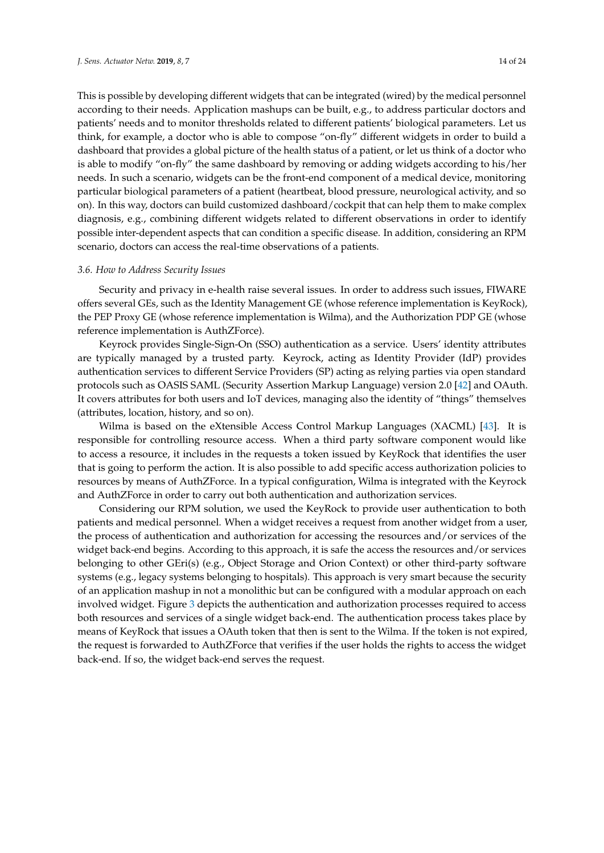This is possible by developing different widgets that can be integrated (wired) by the medical personnel according to their needs. Application mashups can be built, e.g., to address particular doctors and patients' needs and to monitor thresholds related to different patients' biological parameters. Let us think, for example, a doctor who is able to compose "on-fly" different widgets in order to build a dashboard that provides a global picture of the health status of a patient, or let us think of a doctor who is able to modify "on-fly" the same dashboard by removing or adding widgets according to his/her needs. In such a scenario, widgets can be the front-end component of a medical device, monitoring particular biological parameters of a patient (heartbeat, blood pressure, neurological activity, and so on). In this way, doctors can build customized dashboard/cockpit that can help them to make complex diagnosis, e.g., combining different widgets related to different observations in order to identify possible inter-dependent aspects that can condition a specific disease. In addition, considering an RPM scenario, doctors can access the real-time observations of a patients.

#### *3.6. How to Address Security Issues*

Security and privacy in e-health raise several issues. In order to address such issues, FIWARE offers several GEs, such as the Identity Management GE (whose reference implementation is KeyRock), the PEP Proxy GE (whose reference implementation is Wilma), and the Authorization PDP GE (whose reference implementation is AuthZForce).

Keyrock provides Single-Sign-On (SSO) authentication as a service. Users' identity attributes are typically managed by a trusted party. Keyrock, acting as Identity Provider (IdP) provides authentication services to different Service Providers (SP) acting as relying parties via open standard protocols such as OASIS SAML (Security Assertion Markup Language) version 2.0 [\[42\]](#page-23-3) and OAuth. It covers attributes for both users and IoT devices, managing also the identity of "things" themselves (attributes, location, history, and so on).

Wilma is based on the eXtensible Access Control Markup Languages (XACML) [\[43\]](#page-23-4). It is responsible for controlling resource access. When a third party software component would like to access a resource, it includes in the requests a token issued by KeyRock that identifies the user that is going to perform the action. It is also possible to add specific access authorization policies to resources by means of AuthZForce. In a typical configuration, Wilma is integrated with the Keyrock and AuthZForce in order to carry out both authentication and authorization services.

Considering our RPM solution, we used the KeyRock to provide user authentication to both patients and medical personnel. When a widget receives a request from another widget from a user, the process of authentication and authorization for accessing the resources and/or services of the widget back-end begins. According to this approach, it is safe the access the resources and/or services belonging to other GEri(s) (e.g., Object Storage and Orion Context) or other third-party software systems (e.g., legacy systems belonging to hospitals). This approach is very smart because the security of an application mashup in not a monolithic but can be configured with a modular approach on each involved widget. Figure [3](#page-14-0) depicts the authentication and authorization processes required to access both resources and services of a single widget back-end. The authentication process takes place by means of KeyRock that issues a OAuth token that then is sent to the Wilma. If the token is not expired, the request is forwarded to AuthZForce that verifies if the user holds the rights to access the widget back-end. If so, the widget back-end serves the request.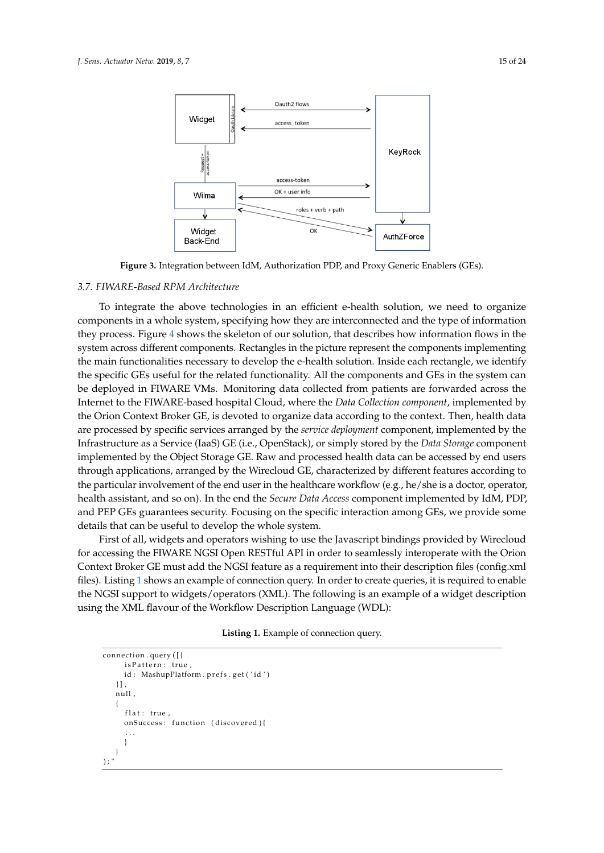<span id="page-14-0"></span>

**Figure 3.** Integration between IdM, Authorization PDP, and Proxy Generic Enablers (GEs).

#### *3.7. FIWARE-Based RPM Architecture*

To integrate the above technologies in an efficient e-health solution, we need to organize components in a whole system, specifying how they are interconnected and the type of information they process. Figure 4 shows the skeleton of our solution, that describes how information flows in the system across different components. Rectangles in the picture represent the components implementing the main functionalities necessary to develop the e-health solution. Inside each rectangle, we identify the specific GEs useful for the related functionality. All the components and GEs in the system can be deployed in FIWARE VMs. Monitoring data collected from patients are forwarded across the Internet to the FIWARE-based hospital Cloud, where the *Data Collection component*, implemented by the Orion Context Broker GE, is devoted to organize data according to the context. Then, health data are processed by specific services arranged by the *service deployment* component, implemented by the Infrastructure as a Service (IaaS) GE (i.e., OpenStack), or simply stored by the *Data Storage* component implemented by the Object Storage GE. Raw and processed health data can be accessed by end users through applications, arranged by the Wirecloud GE, characterized by different features according to the particular involvement of the end user in the healthcare workflow (e.g., he/she is a doctor, operator, health assistant, and so on). In the end the *Secure Data Access* component implemented by IdM, PDP, and PEP GEs guarantees security. Focusing on the specific interaction among GEs, we provide some details that can be useful to develop the whole system.

First of all, widgets and operators wishing to use the Javascript bindings provided by Wirecloud for accessing the FIWARE NGSI Open RESTful API in order to seamlessly interoperate with the Orion Context Broker GE must add the NGSI feature as a requirement into their description files (config.xml files). Listing [1](#page-14-1) shows an example of connection query. In order to create queries, it is required to enable the NGSI support to widgets/operators (XML). The following is an example of a widget description using the XML flavour of the Workflow Description Language (WDL):

<span id="page-14-1"></span>

| <b>Listing 1.</b> Example of connection query. |  |
|------------------------------------------------|--|
|                                                |  |

```
connection . query ([{
            is Pattern: true
           id: MashupPlatform.prefs.get('id')
         \vert],
         null,
\overline{a}flat: true,
            651 onSuccess : function ( discovered ) {
652 . . .
653 }
\left\{\begin{array}{c}1\\3\end{array}\right\}); "
```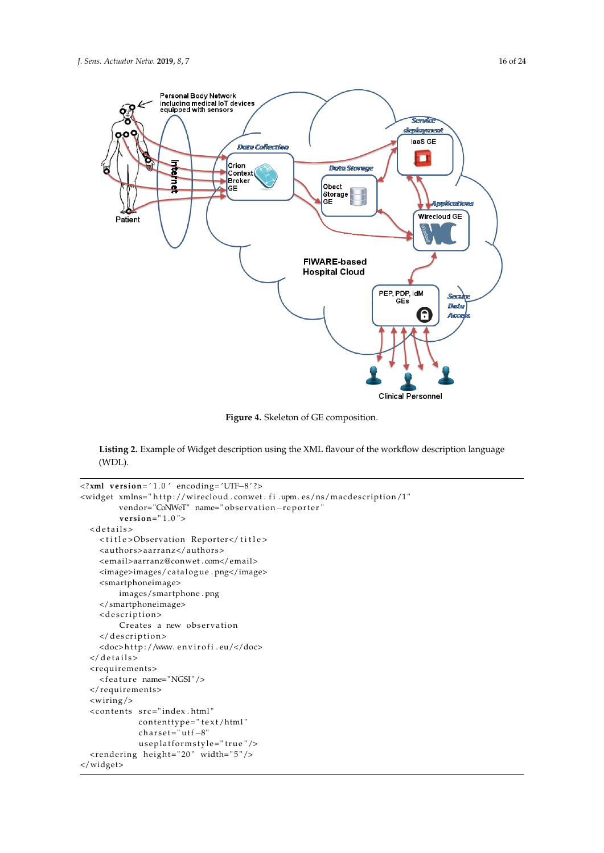<span id="page-15-0"></span>

**Figure 4.** Skeleton of GE composition.

Listing 2. Example of Widget description using the XML flavour of the workflow description language (WDL).

```
<?xml version= ' 1 . 0 ' encoding= 'UTF−8 ' ?>
<widget xmlns="http://wirecloud.conwet.fi.upm.es/ns/macdescription/1"
        vendor="CoNWeT" name=" observation-reporter"
        version=" 1 . 0 ">
  < d e t a i l s >
    <title>Observation Reporter</title>
    <authors>aarranz</authors>
    <email>aarranz@conwet . com</email>
    <image>images/catalogue . png</image>
    <smartphoneimage>
        images/smartphone . png
    </smartphoneimage>
    <description>
        Creates a new observation
    </ description>
    <doc>http://www.envirofi.eu/</doc>
  \langle details>
  <requirements>
    <feature name="NGSI"/>
  </requirements>
  <wiring/>
  <contents src="index.html"
             contenttype="text/html"
             \text{charge} = \text{"utf}-8"useplatformstyle="true"/>
  <rendering height="20" width="5"/>
</widget>
```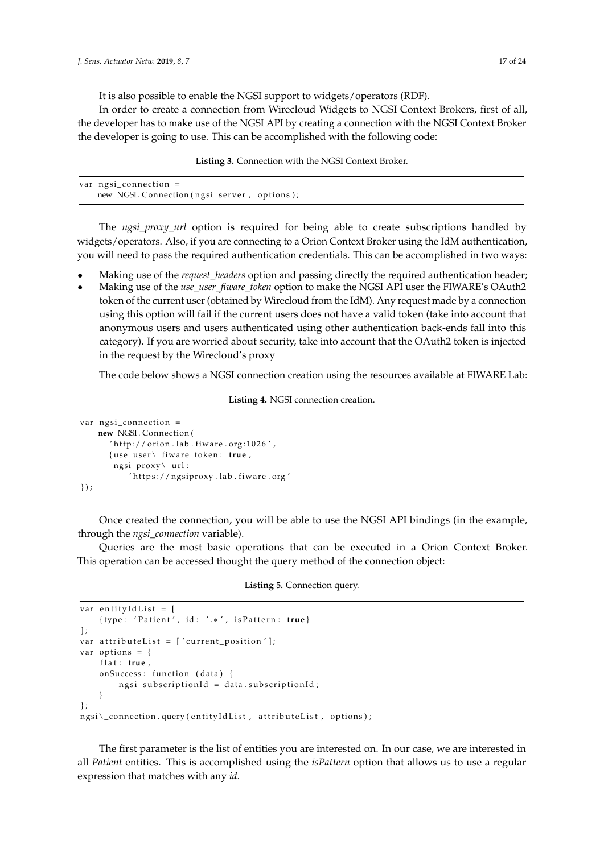It is also possible to enable the NGSI support to widgets/operators (RDF).

In B disc possible to chaste the NGSI support to widgets, operators (KDT).<br>In order to create a connection from Wirecloud Widgets to NGSI Context Brokers, first of all, the developer has to make use of the NGSI API by creating a connection with the NGSI Context Broker the developer is going to use. This can be accomplished with the following code: for the order to enable the NGSI support to the NGSI support to the NGSI support to the NGC support of the NGSI support of the NGSI support of the NGSI support of the NGSI support of the NGSI support of the NGC support of

**Listing 3. Connection with the NGSI Context Broker.**  $694.694$  use of the NGSI  $\alpha$  $\frac{1}{2}$  is time. The connection with the following code:

| var $ngsi_{conn}$ ection =                   |  |  |
|----------------------------------------------|--|--|
| new NGSI. Connection (ngsi_server, options); |  |  |

widgets/operators. Also, if you are connecting to a Orion Context Broker using the IdM authentication, you will need to pass the required authentication credentials. This can be accomplished in two ways:  $702$  authentication, you will need to pass the required authentication credentials. This can be required as  $\frac{1}{2}$ The *ngsi\_proxy\_url* option is required for being able to create subscriptions handled by

- Making use of the *request\_headers* option and passing directly the required authentication header;
- token of the current user (obtained by Wirecloud from the IdM). Any request made by a connection using this option will fail if the current users does not have a valid token (take into account that anonymous users and users authenticated using other authentication back-ends fall into this category). If you are worried about security, take into account that the OAuth2 token is injected in the request by the Wirecloud's proxy • Making use of the *use\_user\_fiware\_token* option to make the NGSI API user the FIWARE's OAuth2

<sup>709</sup> account that anonymous users and users authenticated using other authentication back-ends The code below shows a NGSI connection creation using the resources available at FIWARE Lab: The code secon shows a received connection creation assump

Listing 4. NGSI connection creation.

```
712.71\pm1.02 The code below shows a NGSI connection using the resources available at FIWARE Lab:
new NGSI. Connection (
, ' http://orion . lab . fiware . org:1026 ^{\prime} ,
{use_user\_fiware_token: true ,
ngsi\_proxy\l \_url :
'https://ngsiproxy .lab . fiware . org '
\vert);
   var ngsi_connection =
   \});
```
<sup>720</sup> } ) ;

Once created the connection, you will be able to use the NGSI API bindings (in the example, through the *ngsi\_connection* variable).

Queries are the most basic operations that can be executed in a Orion Context Broker. <sup>723</sup> the *ngsi\_connection* variable). 7145 operation can be accessed thought the query method of the connection object. This operation can be accessed thought the query method of the connection object:  $\frac{1}{2}$  of  $\frac{1}{2}$  of  $\frac{1}{2}$ 

# **Listing 5.** Connection query.

```
var entityIdList = [
         728 { type : ' P a t i e n t ' , id : ' . ∗ ' , i s P a t t e r n : true }
     \mathbf{1}:
    var attributeList = ['current\_position'];
    var options = {
         flat: true,
         onSuccess: function (data) {
              ngsi subscriptionId = data. subscriptionId;
735 }
    \cdotngsi\_connection . query ( entity Id List , attribute List , options ) ;
```
all *Patient* entities. This is accomplished using the *isPattern* option that allows us to use a regular expression that matches with any *id*. <sup>741</sup> expression that matches with any *id*. The first parameter is the list of entities you are interested on. In our case, we are interested in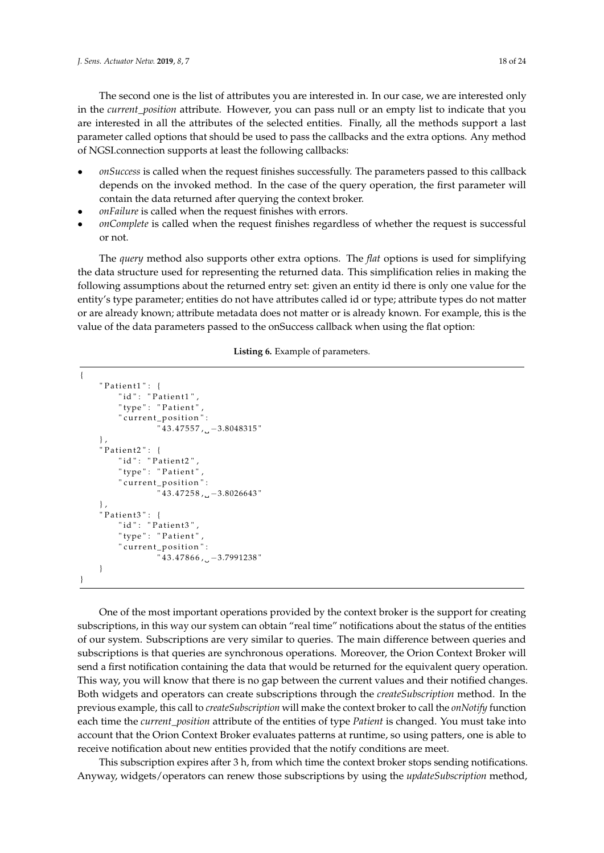The second one is the list of attributes you are interested in. In our case, we are interested only in the *current\_position* attribute. However, you can pass null or an empty list to indicate that you are interested in all the attributes of the selected entities. Finally, all the methods support a last parameter called options that should be used to pass the callbacks and the extra options. Any method of NGSI.connection supports at least the following callbacks: <sup>739</sup> The first parameter is the list of entities you are interested on. In our case, we are interested in 710 second one is the list of attributes you are interested in. In our case, we are interested only

- $\bullet$  *onSuccess* is called when the request finishes successfully. The parameters passed to this callback depends on the invoked method. In the case of the query operation, the first parameter will contain the data returned after querying the context broker.<br> **1** *on Sailura* is called when the request finishes with errors
- *onFailure* is called when the request finishes with errors.<br>
2008 on the invokending of the first parameter will be first parameter will be first parameter with a set of the first parameter will be first parameter will
- *onComplete* is called when the request finishes regardless of whether the request is successful or not.  $\overline{01100}$

The *query* method also supports other extra options. The *flat* options is used for simplifying the data structure used for representing the returned data. This simplification relies in making the following assumptions about the returned entry set: given an entity id there is only one value for the entity's type parameter; entities do not have attributes called id or type; attribute types do not matter or are already known; attribute metadata does not matter or is already known. For example, this is the value of the data parameters passed to the onSuccess callback when using the flat option:

# **Listing 6.** Example of parameters. <sup>757</sup> already known; attribute metadata does not matter or is already known. For example, this is the value

```
\overline{\phantom{0}}" \mathsf{Pattern1}": \{"id": " Patient1"" type": "Patient".
              " current_position":
                        "43.47557, -3.8048315"\},
         \overline{P} Patient2": {
              "id": " Patient2"," type": "Patient"
               " current_position":
                        143.47258, -3.8026643"
         \},
         " Patient3": {
              "id": " Patient3"," type": "Patient",
              " current_position":
         743.47866, −3.7991238"<br>}
\{7, 7, 8, 9\}\left\{ \right\}
```
One of the most important operations provided by the context broker is the support for creating subscriptions, in this way our system can obtain "real time" notifications about the status of the entities of our system. Subscriptions are very similar to queries. The main difference between queries and subscriptions is that queries are synchronous operations. Moreover, the Orion Context Broker will send a first notification containing the data that would be returned for the equivalent query operation. This way, you will know that there is no gap between the current values and their notified changes. Both widgets and operators can create subscriptions through the *createSubscription* method. In the previous example, this call to *createSubscription* will make the context broker to call the *onNotify* function each time the *current\_position* attribute of the entities of type *Patient* is changed. You must take into account that the Orion Context Broker evaluates patterns at runtime, so using patters, one is able to receive notification about new entities provided that the notify conditions are meet.

This subscription expires after 3 h, from which time the context broker stops sending notifications. Anyway, widgets/operators can renew those subscriptions by using the *updateSubscription* method,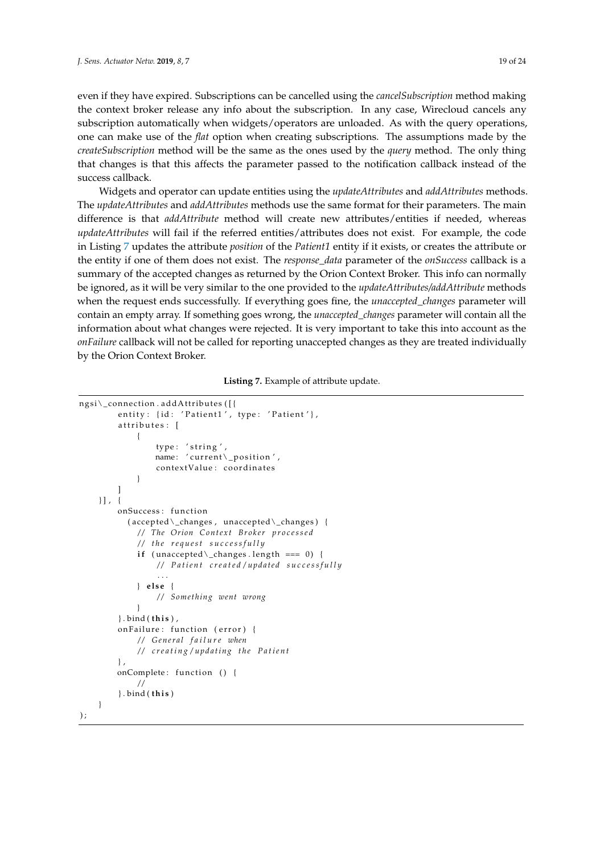even if they have expired. Subscriptions can be cancelled using the *cancelSubscription* method making the context broker release any info about the subscription. In any case, Wirecloud cancels any subscription automatically when widgets/operators are unloaded. As with the query operations, one can make use of the *flat* option when creating subscriptions. The assumptions made by the *createSubscription* method will be the same as the ones used by the *query* method. The only thing that changes is that this affects the parameter passed to the notification callback instead of the success callback.

Widgets and operator can update entities using the *updateAttributes* and *addAttributes* methods. The *updateAttributes* and *addAttributes* methods use the same format for their parameters. The main difference is that *addAttribute* method will create new attributes/entities if needed, whereas *updateAttributes* will fail if the referred entities/attributes does not exist. For example, the code in Listing [7](#page-18-0) updates the attribute *position* of the *Patient1* entity if it exists, or creates the attribute or the entity if one of them does not exist. The *response\_data* parameter of the *onSuccess* callback is a summary of the accepted changes as returned by the Orion Context Broker. This info can normally be ignored, as it will be very similar to the one provided to the *updateAttributes/addAttribute* methods when the request ends successfully. If everything goes fine, the *unaccepted\_changes* parameter will contain an empty array. If something goes wrong, the *unaccepted\_changes* parameter will contain all the information about what changes were rejected. It is very important to take this into account as the *onFailure* callback will not be called for reporting unaccepted changes as they are treated individually by the Orion Context Broker.

**Listing 7.** Example of attribute update.

```
ngsi\_connection . addAttributes ([{
                entity: {id: 'Patient1', type: 'Patient'},
                attributes: [
\{type: 'string',
                           name: ' current\_position',
                           contextValue: coordinates
789 }
790 ]
           31.4onSuccess: function
                   793 ( accepted\_changes , unaccepted\_changes ) {
                     // The Orion Context Broker processed
                     795 / / t h e r e q u e s t s u c c e s s f u l l y
                     if (unaccepted\langle_changes . length === 0) {
                           797 / / P a t i e n t c r e a t e d / updated s u c c e s s f u l l y
798 . . .
                      799 } e ls e {
                           800 / / Something went wrong
801 and 2012 and 301 and 31 and 31 and 31 and 31 and 31 and 31 and 31 and 31 and 31 and 31 and 31 and 31 and 3
                802 } . bind ( t h i s ) ,
                onFailure: function ( error ) {
                     804 / / G e n e r a l f a i l u r e when
                     805 / / c r e a t i n g / u p d a t i n g t h e P a t i e n t
                \overline{8}onComplete: function () {
808 / /
                809 } . bind ( t h i s )
          \left\{ \right\});
```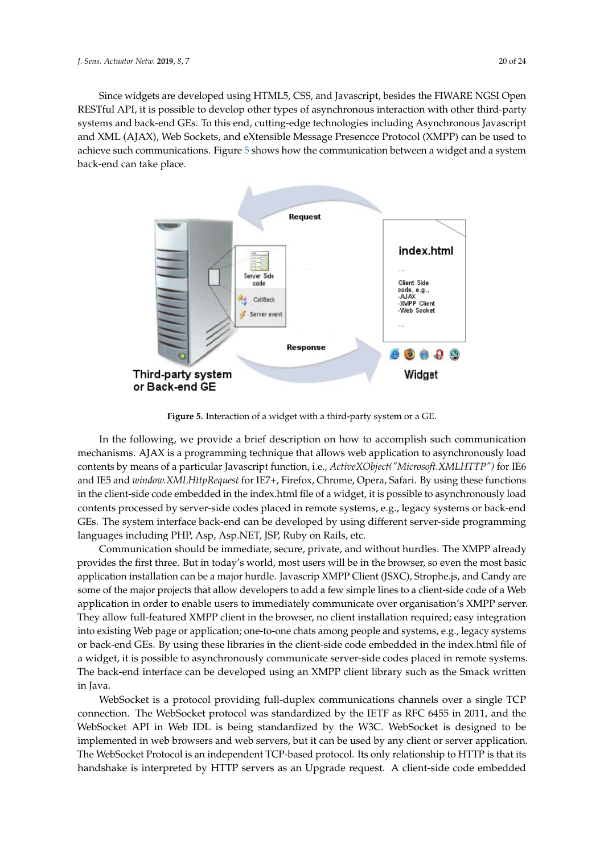Since widgets are developed using HTML5, CSS, and Javascript, besides the FIWARE NGSI Open RESTful API, it is possible to develop other types of asynchronous interaction with other third-party systems and back-end GEs. To this end, cutting-edge technologies including Asynchronous Javascript and XML (AJAX), Web Sockets, and eXtensible Message Presencce Protocol (XMPP) can be used to achieve such communications. Figure [5](#page-19-0) shows how the communication between a widget and a system back-end can take place.

<span id="page-19-0"></span>

**Figure 5.** Interaction of a widget with a third-party system or a GE.

In the following, we provide a brief description on how to accomplish such communication mechanisms. AJAX is a programming technique that allows web application to asynchronously load contents by means of a particular Javascript function, i.e., *ActiveXObject("Microsoft.XMLHTTP")* for IE6 and IE5 and *window.XMLHttpRequest* for IE7+, Firefox, Chrome, Opera, Safari. By using these functions in the client-side code embedded in the index.html file of a widget, it is possible to asynchronously load contents processed by server-side codes placed in remote systems, e.g., legacy systems or back-end GEs. The system interface back-end can be developed by using different server-side programming languages including PHP, Asp, Asp.NET, JSP, Ruby on Rails, etc.

Communication should be immediate, secure, private, and without hurdles. The XMPP already provides the first three. But in today's world, most users will be in the browser, so even the most basic application installation can be a major hurdle. Javascrip XMPP Client (JSXC), Strophe.js, and Candy are some of the major projects that allow developers to add a few simple lines to a client-side code of a Web application in order to enable users to immediately communicate over organisation's XMPP server. They allow full-featured XMPP client in the browser, no client installation required; easy integration into existing Web page or application; one-to-one chats among people and systems, e.g., legacy systems or back-end GEs. By using these libraries in the client-side code embedded in the index.html file of a widget, it is possible to asynchronously communicate server-side codes placed in remote systems. The back-end interface can be developed using an XMPP client library such as the Smack written in Java.

WebSocket is a protocol providing full-duplex communications channels over a single TCP connection. The WebSocket protocol was standardized by the IETF as RFC 6455 in 2011, and the WebSocket API in Web IDL is being standardized by the W3C. WebSocket is designed to be implemented in web browsers and web servers, but it can be used by any client or server application. The WebSocket Protocol is an independent TCP-based protocol. Its only relationship to HTTP is that its handshake is interpreted by HTTP servers as an Upgrade request. A client-side code embedded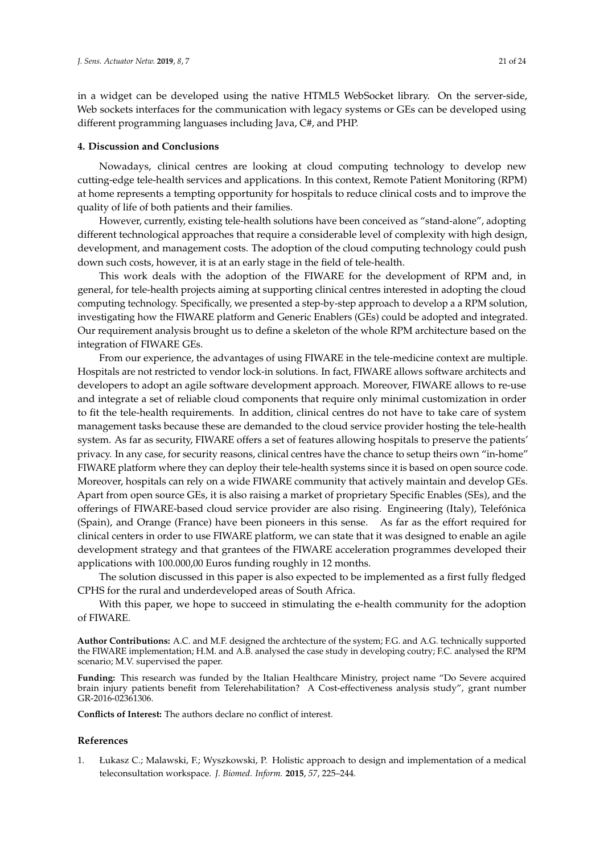in a widget can be developed using the native HTML5 WebSocket library. On the server-side, Web sockets interfaces for the communication with legacy systems or GEs can be developed using different programming languases including Java, C#, and PHP.

#### <span id="page-20-1"></span>**4. Discussion and Conclusions**

Nowadays, clinical centres are looking at cloud computing technology to develop new cutting-edge tele-health services and applications. In this context, Remote Patient Monitoring (RPM) at home represents a tempting opportunity for hospitals to reduce clinical costs and to improve the quality of life of both patients and their families.

However, currently, existing tele-health solutions have been conceived as "stand-alone", adopting different technological approaches that require a considerable level of complexity with high design, development, and management costs. The adoption of the cloud computing technology could push down such costs, however, it is at an early stage in the field of tele-health.

This work deals with the adoption of the FIWARE for the development of RPM and, in general, for tele-health projects aiming at supporting clinical centres interested in adopting the cloud computing technology. Specifically, we presented a step-by-step approach to develop a a RPM solution, investigating how the FIWARE platform and Generic Enablers (GEs) could be adopted and integrated. Our requirement analysis brought us to define a skeleton of the whole RPM architecture based on the integration of FIWARE GEs.

From our experience, the advantages of using FIWARE in the tele-medicine context are multiple. Hospitals are not restricted to vendor lock-in solutions. In fact, FIWARE allows software architects and developers to adopt an agile software development approach. Moreover, FIWARE allows to re-use and integrate a set of reliable cloud components that require only minimal customization in order to fit the tele-health requirements. In addition, clinical centres do not have to take care of system management tasks because these are demanded to the cloud service provider hosting the tele-health system. As far as security, FIWARE offers a set of features allowing hospitals to preserve the patients' privacy. In any case, for security reasons, clinical centres have the chance to setup theirs own "in-home" FIWARE platform where they can deploy their tele-health systems since it is based on open source code. Moreover, hospitals can rely on a wide FIWARE community that actively maintain and develop GEs. Apart from open source GEs, it is also raising a market of proprietary Specific Enables (SEs), and the offerings of FIWARE-based cloud service provider are also rising. Engineering (Italy), Telefónica (Spain), and Orange (France) have been pioneers in this sense. As far as the effort required for clinical centers in order to use FIWARE platform, we can state that it was designed to enable an agile development strategy and that grantees of the FIWARE acceleration programmes developed their applications with 100.000,00 Euros funding roughly in 12 months.

The solution discussed in this paper is also expected to be implemented as a first fully fledged CPHS for the rural and underdeveloped areas of South Africa.

With this paper, we hope to succeed in stimulating the e-health community for the adoption of FIWARE.

**Author Contributions:** A.C. and M.F. designed the archtecture of the system; F.G. and A.G. technically supported the FIWARE implementation; H.M. and A.B. analysed the case study in developing coutry; F.C. analysed the RPM scenario; M.V. supervised the paper.

**Funding:** This research was funded by the Italian Healthcare Ministry, project name "Do Severe acquired brain injury patients benefit from Telerehabilitation? A Cost-effectiveness analysis study", grant number GR-2016-02361306.

**Conflicts of Interest:** The authors declare no conflict of interest.

#### **References**

<span id="page-20-0"></span>1. Łukasz C.; Malawski, F.; Wyszkowski, P. Holistic approach to design and implementation of a medical teleconsultation workspace. *J. Biomed. Inform.* **2015**, *57*, 225–244.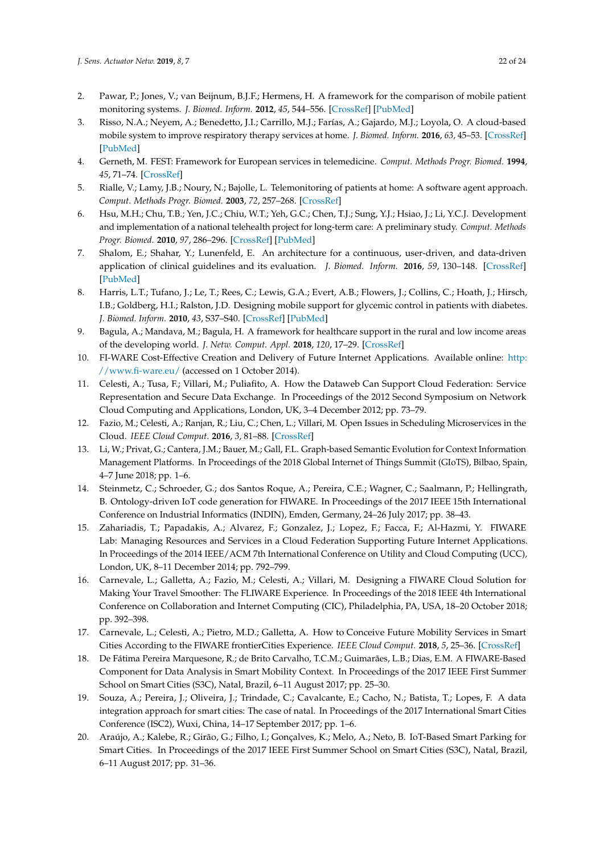- <span id="page-21-0"></span>2. Pawar, P.; Jones, V.; van Beijnum, B.J.F.; Hermens, H. A framework for the comparison of mobile patient monitoring systems. *J. Biomed. Inform.* **2012**, *45*, 544–556. [\[CrossRef\]](http://dx.doi.org/10.1016/j.jbi.2012.02.007) [\[PubMed\]](http://www.ncbi.nlm.nih.gov/pubmed/22406009)
- <span id="page-21-1"></span>3. Risso, N.A.; Neyem, A.; Benedetto, J.I.; Carrillo, M.J.; Farías, A.; Gajardo, M.J.; Loyola, O. A cloud-based mobile system to improve respiratory therapy services at home. *J. Biomed. Inform.* **2016**, *63*, 45–53. [\[CrossRef\]](http://dx.doi.org/10.1016/j.jbi.2016.07.006) [\[PubMed\]](http://www.ncbi.nlm.nih.gov/pubmed/27392646)
- <span id="page-21-2"></span>4. Gerneth, M. FEST: Framework for European services in telemedicine. *Comput. Methods Progr. Biomed.* **1994**, *45*, 71–74. [\[CrossRef\]](http://dx.doi.org/10.1016/0169-2607(94)90019-1)
- <span id="page-21-3"></span>5. Rialle, V.; Lamy, J.B.; Noury, N.; Bajolle, L. Telemonitoring of patients at home: A software agent approach. *Comput. Methods Progr. Biomed.* **2003**, *72*, 257–268. [\[CrossRef\]](http://dx.doi.org/10.1016/S0169-2607(02)00161-X)
- <span id="page-21-4"></span>6. Hsu, M.H.; Chu, T.B.; Yen, J.C.; Chiu, W.T.; Yeh, G.C.; Chen, T.J.; Sung, Y.J.; Hsiao, J.; Li, Y.C.J. Development and implementation of a national telehealth project for long-term care: A preliminary study. *Comput. Methods Progr. Biomed.* **2010**, *97*, 286–296. [\[CrossRef\]](http://dx.doi.org/10.1016/j.cmpb.2009.12.008) [\[PubMed\]](http://www.ncbi.nlm.nih.gov/pubmed/20092907)
- <span id="page-21-5"></span>7. Shalom, E.; Shahar, Y.; Lunenfeld, E. An architecture for a continuous, user-driven, and data-driven application of clinical guidelines and its evaluation. *J. Biomed. Inform.* **2016**, *59*, 130–148. [\[CrossRef\]](http://dx.doi.org/10.1016/j.jbi.2015.11.006) [\[PubMed\]](http://www.ncbi.nlm.nih.gov/pubmed/26616284)
- <span id="page-21-6"></span>8. Harris, L.T.; Tufano, J.; Le, T.; Rees, C.; Lewis, G.A.; Evert, A.B.; Flowers, J.; Collins, C.; Hoath, J.; Hirsch, I.B.; Goldberg, H.I.; Ralston, J.D. Designing mobile support for glycemic control in patients with diabetes. *J. Biomed. Inform.* **2010**, *43*, S37–S40. [\[CrossRef\]](http://dx.doi.org/10.1016/j.jbi.2010.05.004) [\[PubMed\]](http://www.ncbi.nlm.nih.gov/pubmed/20937484)
- <span id="page-21-7"></span>9. Bagula, A.; Mandava, M.; Bagula, H. A framework for healthcare support in the rural and low income areas of the developing world. *J. Netw. Comput. Appl.* **2018**, *120*, 17–29. [\[CrossRef\]](http://dx.doi.org/10.1016/j.jnca.2018.06.010)
- <span id="page-21-8"></span>10. FI-WARE Cost-Effective Creation and Delivery of Future Internet Applications. Available online: [http:](http://www.fi-ware.eu/) [//www.fi-ware.eu/](http://www.fi-ware.eu/) (accessed on 1 October 2014).
- <span id="page-21-9"></span>11. Celesti, A.; Tusa, F.; Villari, M.; Puliafito, A. How the Dataweb Can Support Cloud Federation: Service Representation and Secure Data Exchange. In Proceedings of the 2012 Second Symposium on Network Cloud Computing and Applications, London, UK, 3–4 December 2012; pp. 73–79.
- <span id="page-21-10"></span>12. Fazio, M.; Celesti, A.; Ranjan, R.; Liu, C.; Chen, L.; Villari, M. Open Issues in Scheduling Microservices in the Cloud. *IEEE Cloud Comput.* **2016**, *3*, 81–88. [\[CrossRef\]](http://dx.doi.org/10.1109/MCC.2016.112)
- <span id="page-21-11"></span>13. Li, W.; Privat, G.; Cantera, J.M.; Bauer, M.; Gall, F.L. Graph-based Semantic Evolution for Context Information Management Platforms. In Proceedings of the 2018 Global Internet of Things Summit (GIoTS), Bilbao, Spain, 4–7 June 2018; pp. 1–6.
- <span id="page-21-12"></span>14. Steinmetz, C.; Schroeder, G.; dos Santos Roque, A.; Pereira, C.E.; Wagner, C.; Saalmann, P.; Hellingrath, B. Ontology-driven IoT code generation for FIWARE. In Proceedings of the 2017 IEEE 15th International Conference on Industrial Informatics (INDIN), Emden, Germany, 24–26 July 2017; pp. 38–43.
- <span id="page-21-13"></span>15. Zahariadis, T.; Papadakis, A.; Alvarez, F.; Gonzalez, J.; Lopez, F.; Facca, F.; Al-Hazmi, Y. FIWARE Lab: Managing Resources and Services in a Cloud Federation Supporting Future Internet Applications. In Proceedings of the 2014 IEEE/ACM 7th International Conference on Utility and Cloud Computing (UCC), London, UK, 8–11 December 2014; pp. 792–799.
- <span id="page-21-14"></span>16. Carnevale, L.; Galletta, A.; Fazio, M.; Celesti, A.; Villari, M. Designing a FIWARE Cloud Solution for Making Your Travel Smoother: The FLIWARE Experience. In Proceedings of the 2018 IEEE 4th International Conference on Collaboration and Internet Computing (CIC), Philadelphia, PA, USA, 18–20 October 2018; pp. 392–398.
- 17. Carnevale, L.; Celesti, A.; Pietro, M.D.; Galletta, A. How to Conceive Future Mobility Services in Smart Cities According to the FIWARE frontierCities Experience. *IEEE Cloud Comput.* **2018**, *5*, 25–36. [\[CrossRef\]](http://dx.doi.org/10.1109/MCC.2018.053711664)
- 18. De Fátima Pereira Marquesone, R.; de Brito Carvalho, T.C.M.; Guimarães, L.B.; Dias, E.M. A FIWARE-Based Component for Data Analysis in Smart Mobility Context. In Proceedings of the 2017 IEEE First Summer School on Smart Cities (S3C), Natal, Brazil, 6–11 August 2017; pp. 25–30.
- <span id="page-21-15"></span>19. Souza, A.; Pereira, J.; Oliveira, J.; Trindade, C.; Cavalcante, E.; Cacho, N.; Batista, T.; Lopes, F. A data integration approach for smart cities: The case of natal. In Proceedings of the 2017 International Smart Cities Conference (ISC2), Wuxi, China, 14–17 September 2017; pp. 1–6.
- <span id="page-21-16"></span>20. Araújo, A.; Kalebe, R.; Girão, G.; Filho, I.; Gonçalves, K.; Melo, A.; Neto, B. IoT-Based Smart Parking for Smart Cities. In Proceedings of the 2017 IEEE First Summer School on Smart Cities (S3C), Natal, Brazil, 6–11 August 2017; pp. 31–36.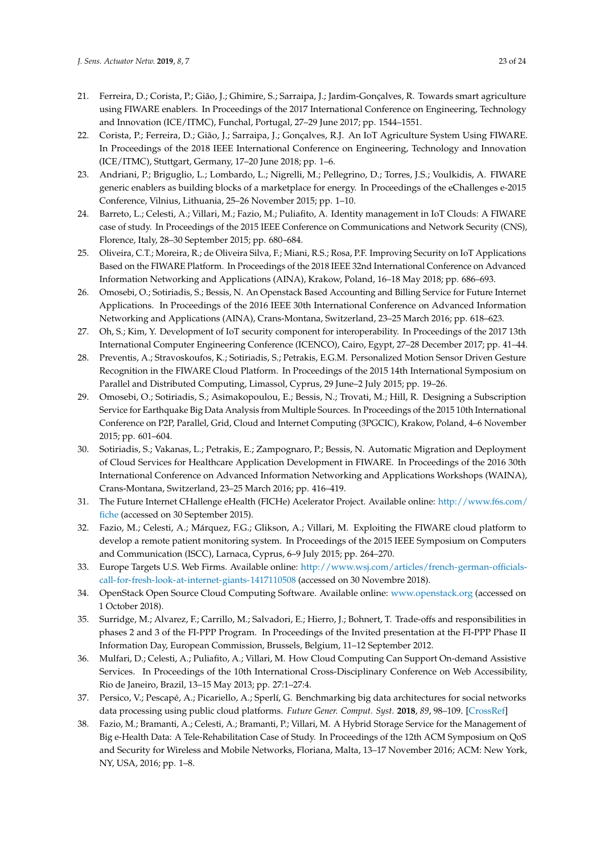- <span id="page-22-0"></span>21. Ferreira, D.; Corista, P.; Gião, J.; Ghimire, S.; Sarraipa, J.; Jardim-Gonçalves, R. Towards smart agriculture using FIWARE enablers. In Proceedings of the 2017 International Conference on Engineering, Technology and Innovation (ICE/ITMC), Funchal, Portugal, 27–29 June 2017; pp. 1544–1551.
- <span id="page-22-1"></span>22. Corista, P.; Ferreira, D.; Gião, J.; Sarraipa, J.; Gonçalves, R.J. An IoT Agriculture System Using FIWARE. In Proceedings of the 2018 IEEE International Conference on Engineering, Technology and Innovation (ICE/ITMC), Stuttgart, Germany, 17–20 June 2018; pp. 1–6.
- <span id="page-22-2"></span>23. Andriani, P.; Briguglio, L.; Lombardo, L.; Nigrelli, M.; Pellegrino, D.; Torres, J.S.; Voulkidis, A. FIWARE generic enablers as building blocks of a marketplace for energy. In Proceedings of the eChallenges e-2015 Conference, Vilnius, Lithuania, 25–26 November 2015; pp. 1–10.
- <span id="page-22-3"></span>24. Barreto, L.; Celesti, A.; Villari, M.; Fazio, M.; Puliafito, A. Identity management in IoT Clouds: A FIWARE case of study. In Proceedings of the 2015 IEEE Conference on Communications and Network Security (CNS), Florence, Italy, 28–30 September 2015; pp. 680–684.
- 25. Oliveira, C.T.; Moreira, R.; de Oliveira Silva, F.; Miani, R.S.; Rosa, P.F. Improving Security on IoT Applications Based on the FIWARE Platform. In Proceedings of the 2018 IEEE 32nd International Conference on Advanced Information Networking and Applications (AINA), Krakow, Poland, 16–18 May 2018; pp. 686–693.
- 26. Omosebi, O.; Sotiriadis, S.; Bessis, N. An Openstack Based Accounting and Billing Service for Future Internet Applications. In Proceedings of the 2016 IEEE 30th International Conference on Advanced Information Networking and Applications (AINA), Crans-Montana, Switzerland, 23–25 March 2016; pp. 618–623.
- <span id="page-22-4"></span>27. Oh, S.; Kim, Y. Development of IoT security component for interoperability. In Proceedings of the 2017 13th International Computer Engineering Conference (ICENCO), Cairo, Egypt, 27–28 December 2017; pp. 41–44.
- <span id="page-22-5"></span>28. Preventis, A.; Stravoskoufos, K.; Sotiriadis, S.; Petrakis, E.G.M. Personalized Motion Sensor Driven Gesture Recognition in the FIWARE Cloud Platform. In Proceedings of the 2015 14th International Symposium on Parallel and Distributed Computing, Limassol, Cyprus, 29 June–2 July 2015; pp. 19–26.
- <span id="page-22-6"></span>29. Omosebi, O.; Sotiriadis, S.; Asimakopoulou, E.; Bessis, N.; Trovati, M.; Hill, R. Designing a Subscription Service for Earthquake Big Data Analysis from Multiple Sources. In Proceedings of the 2015 10th International Conference on P2P, Parallel, Grid, Cloud and Internet Computing (3PGCIC), Krakow, Poland, 4–6 November 2015; pp. 601–604.
- <span id="page-22-7"></span>30. Sotiriadis, S.; Vakanas, L.; Petrakis, E.; Zampognaro, P.; Bessis, N. Automatic Migration and Deployment of Cloud Services for Healthcare Application Development in FIWARE. In Proceedings of the 2016 30th International Conference on Advanced Information Networking and Applications Workshops (WAINA), Crans-Montana, Switzerland, 23–25 March 2016; pp. 416–419.
- <span id="page-22-8"></span>31. The Future Internet CHallenge eHealth (FICHe) Acelerator Project. Available online: [http://www.f6s.com/]( http://www.f6s.com/fiche) [fiche]( http://www.f6s.com/fiche) (accessed on 30 September 2015).
- <span id="page-22-9"></span>32. Fazio, M.; Celesti, A.; Márquez, F.G.; Glikson, A.; Villari, M. Exploiting the FIWARE cloud platform to develop a remote patient monitoring system. In Proceedings of the 2015 IEEE Symposium on Computers and Communication (ISCC), Larnaca, Cyprus, 6–9 July 2015; pp. 264–270.
- <span id="page-22-10"></span>33. Europe Targets U.S. Web Firms. Available online: [http://www.wsj.com/articles/french-german-officials](http://www.wsj.com/articles/french-german-officials-call-for-fresh-look-at-internet-giants-1417110508)[call-for-fresh-look-at-internet-giants-1417110508](http://www.wsj.com/articles/french-german-officials-call-for-fresh-look-at-internet-giants-1417110508) (accessed on 30 Novembre 2018).
- <span id="page-22-11"></span>34. OpenStack Open Source Cloud Computing Software. Available online: <www.openstack.org> (accessed on 1 October 2018).
- <span id="page-22-12"></span>35. Surridge, M.; Alvarez, F.; Carrillo, M.; Salvadori, E.; Hierro, J.; Bohnert, T. Trade-offs and responsibilities in phases 2 and 3 of the FI-PPP Program. In Proceedings of the Invited presentation at the FI-PPP Phase II Information Day, European Commission, Brussels, Belgium, 11–12 September 2012.
- <span id="page-22-13"></span>36. Mulfari, D.; Celesti, A.; Puliafito, A.; Villari, M. How Cloud Computing Can Support On-demand Assistive Services. In Proceedings of the 10th International Cross-Disciplinary Conference on Web Accessibility, Rio de Janeiro, Brazil, 13–15 May 2013; pp. 27:1–27:4.
- <span id="page-22-14"></span>37. Persico, V.; Pescapé, A.; Picariello, A.; Sperlí, G. Benchmarking big data architectures for social networks data processing using public cloud platforms. *Future Gener. Comput. Syst.* **2018**, *89*, 98–109. [\[CrossRef\]](http://dx.doi.org/10.1016/j.future.2018.05.068)
- <span id="page-22-15"></span>38. Fazio, M.; Bramanti, A.; Celesti, A.; Bramanti, P.; Villari, M. A Hybrid Storage Service for the Management of Big e-Health Data: A Tele-Rehabilitation Case of Study. In Proceedings of the 12th ACM Symposium on QoS and Security for Wireless and Mobile Networks, Floriana, Malta, 13–17 November 2016; ACM: New York, NY, USA, 2016; pp. 1–8.